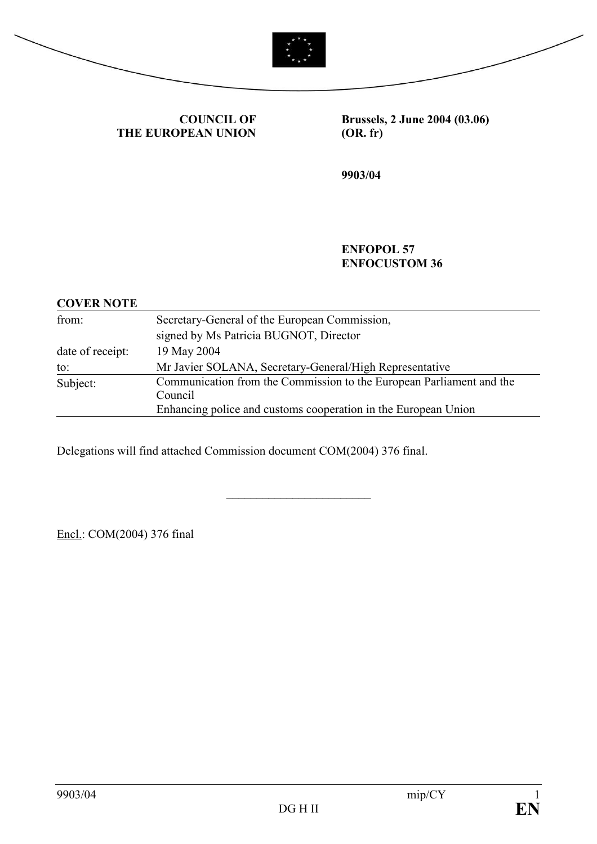



COUNCIL OF THE EUROPEAN UNION Brussels, 2 June 2004 (03.06) (OR. fr)

9903/04

#### ENFOPOL 57 ENFOCUSTOM 36

| <b>COVER NOTE</b> |                                                                      |
|-------------------|----------------------------------------------------------------------|
| from:             | Secretary-General of the European Commission,                        |
|                   | signed by Ms Patricia BUGNOT, Director                               |
| date of receipt:  | 19 May 2004                                                          |
| to:               | Mr Javier SOLANA, Secretary-General/High Representative              |
| Subject:          | Communication from the Commission to the European Parliament and the |
|                   | Council                                                              |
|                   | Enhancing police and customs cooperation in the European Union       |

\_\_\_\_\_\_\_\_\_\_\_\_\_\_\_\_\_\_\_\_\_\_\_\_

Delegations will find attached Commission document COM(2004) 376 final.

Encl.: COM(2004) 376 final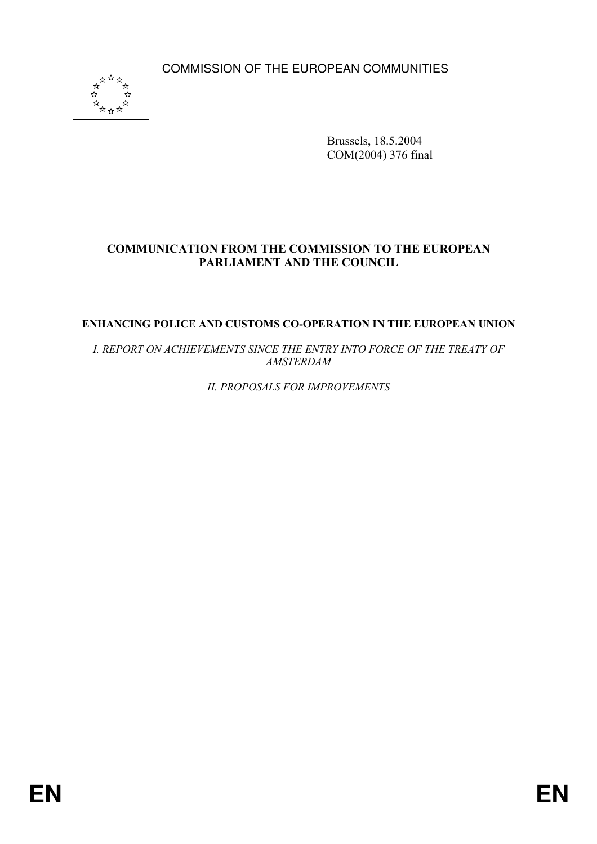COMMISSION OF THE EUROPEAN COMMUNITIES



Brussels, 18.5.2004 COM(2004) 376 final

# COMMUNICATION FROM THE COMMISSION TO THE EUROPEAN PARLIAMENT AND THE COUNCIL

#### ENHANCING POLICE AND CUSTOMS CO-OPERATION IN THE EUROPEAN UNION

I. REPORT ON ACHIEVEMENTS SINCE THE ENTRY INTO FORCE OF THE TREATY OF AMSTERDAM

II. PROPOSALS FOR IMPROVEMENTS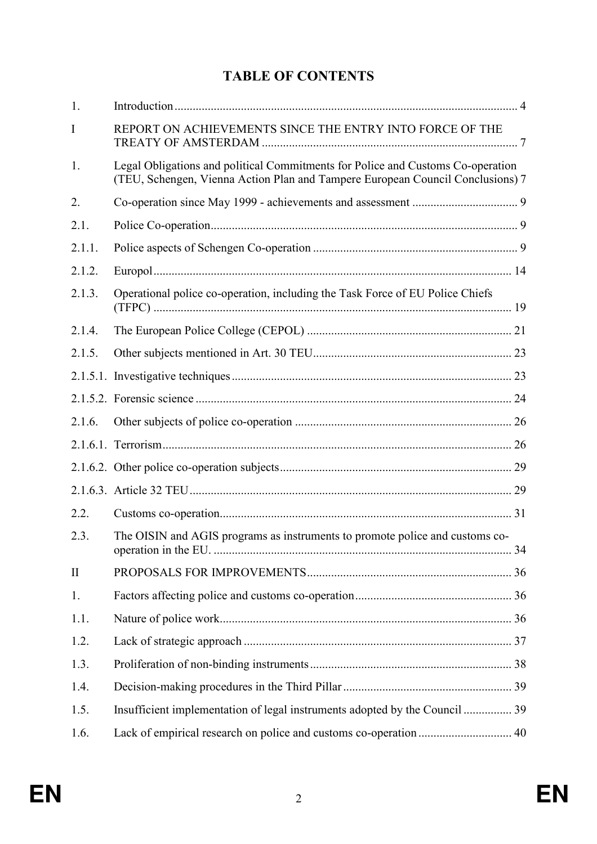# TABLE OF CONTENTS

| 1.       |                                                                                                                                                                   |  |
|----------|-------------------------------------------------------------------------------------------------------------------------------------------------------------------|--|
| I        | REPORT ON ACHIEVEMENTS SINCE THE ENTRY INTO FORCE OF THE                                                                                                          |  |
| 1.       | Legal Obligations and political Commitments for Police and Customs Co-operation<br>(TEU, Schengen, Vienna Action Plan and Tampere European Council Conclusions) 7 |  |
| 2.       |                                                                                                                                                                   |  |
| 2.1.     |                                                                                                                                                                   |  |
| 2.1.1.   |                                                                                                                                                                   |  |
| 2.1.2.   |                                                                                                                                                                   |  |
| 2.1.3.   | Operational police co-operation, including the Task Force of EU Police Chiefs                                                                                     |  |
| 2.1.4.   |                                                                                                                                                                   |  |
| 2.1.5.   |                                                                                                                                                                   |  |
|          |                                                                                                                                                                   |  |
|          |                                                                                                                                                                   |  |
| 2.1.6.   |                                                                                                                                                                   |  |
|          |                                                                                                                                                                   |  |
|          |                                                                                                                                                                   |  |
|          |                                                                                                                                                                   |  |
| 2.2.     |                                                                                                                                                                   |  |
| 2.3.     | The OISIN and AGIS programs as instruments to promote police and customs co-                                                                                      |  |
| $\rm II$ |                                                                                                                                                                   |  |
| 1.       |                                                                                                                                                                   |  |
| 1.1.     |                                                                                                                                                                   |  |
| 1.2.     |                                                                                                                                                                   |  |
| 1.3.     |                                                                                                                                                                   |  |
| 1.4.     |                                                                                                                                                                   |  |
| 1.5.     | Insufficient implementation of legal instruments adopted by the Council  39                                                                                       |  |
| 1.6.     |                                                                                                                                                                   |  |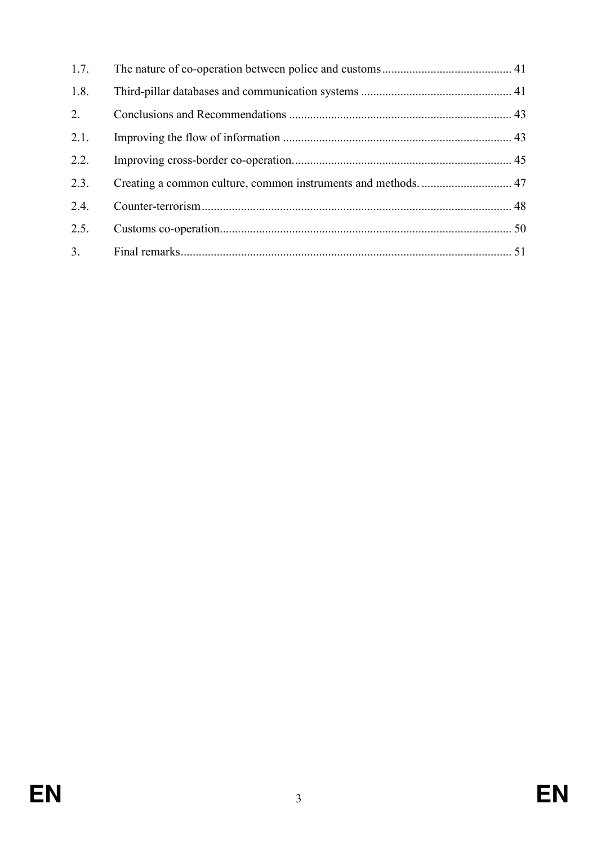| 1.7. |  |
|------|--|
| 1.8. |  |
| 2.   |  |
| 2.1. |  |
| 2.2. |  |
| 2.3. |  |
| 2.4. |  |
| 2.5. |  |
| 3.   |  |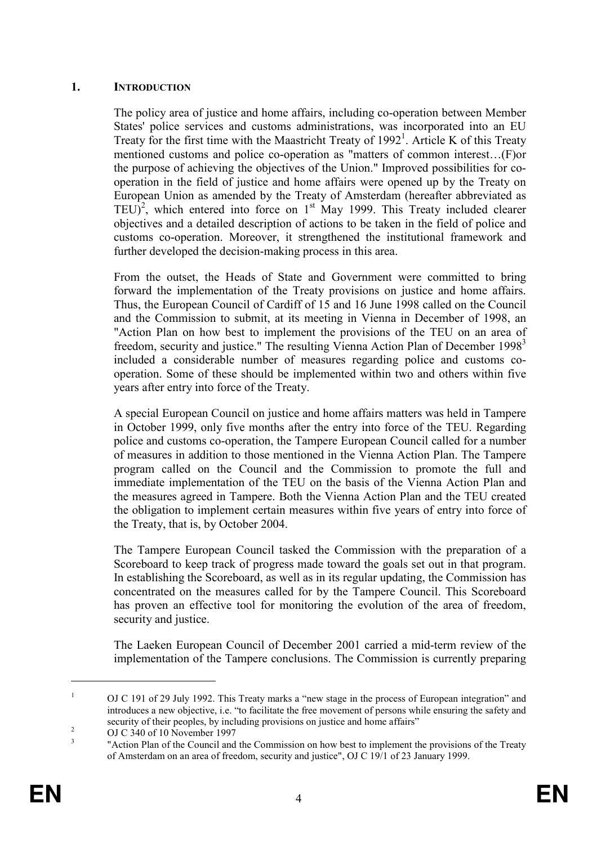## 1. INTRODUCTION

The policy area of justice and home affairs, including co-operation between Member States' police services and customs administrations, was incorporated into an EU Treaty for the first time with the Maastricht Treaty of  $1992<sup>1</sup>$ . Article K of this Treaty mentioned customs and police co-operation as "matters of common interest…(F)or the purpose of achieving the objectives of the Union." Improved possibilities for cooperation in the field of justice and home affairs were opened up by the Treaty on European Union as amended by the Treaty of Amsterdam (hereafter abbreviated as TEU)<sup>2</sup>, which entered into force on  $1<sup>st</sup>$  May 1999. This Treaty included clearer objectives and a detailed description of actions to be taken in the field of police and customs co-operation. Moreover, it strengthened the institutional framework and further developed the decision-making process in this area.

From the outset, the Heads of State and Government were committed to bring forward the implementation of the Treaty provisions on justice and home affairs. Thus, the European Council of Cardiff of 15 and 16 June 1998 called on the Council and the Commission to submit, at its meeting in Vienna in December of 1998, an "Action Plan on how best to implement the provisions of the TEU on an area of freedom, security and justice." The resulting Vienna Action Plan of December 1998<sup>3</sup> included a considerable number of measures regarding police and customs cooperation. Some of these should be implemented within two and others within five years after entry into force of the Treaty.

A special European Council on justice and home affairs matters was held in Tampere in October 1999, only five months after the entry into force of the TEU. Regarding police and customs co-operation, the Tampere European Council called for a number of measures in addition to those mentioned in the Vienna Action Plan. The Tampere program called on the Council and the Commission to promote the full and immediate implementation of the TEU on the basis of the Vienna Action Plan and the measures agreed in Tampere. Both the Vienna Action Plan and the TEU created the obligation to implement certain measures within five years of entry into force of the Treaty, that is, by October 2004.

The Tampere European Council tasked the Commission with the preparation of a Scoreboard to keep track of progress made toward the goals set out in that program. In establishing the Scoreboard, as well as in its regular updating, the Commission has concentrated on the measures called for by the Tampere Council. This Scoreboard has proven an effective tool for monitoring the evolution of the area of freedom, security and justice.

The Laeken European Council of December 2001 carried a mid-term review of the implementation of the Tampere conclusions. The Commission is currently preparing

<sup>1</sup> OJ C 191 of 29 July 1992. This Treaty marks a "new stage in the process of European integration" and introduces a new objective, i.e. "to facilitate the free movement of persons while ensuring the safety and security of their peoples, by including provisions on justice and home affairs"

<sup>2</sup> OJ C 340 of 10 November 1997 3

 <sup>&</sup>quot;Action Plan of the Council and the Commission on how best to implement the provisions of the Treaty of Amsterdam on an area of freedom, security and justice", OJ C 19/1 of 23 January 1999.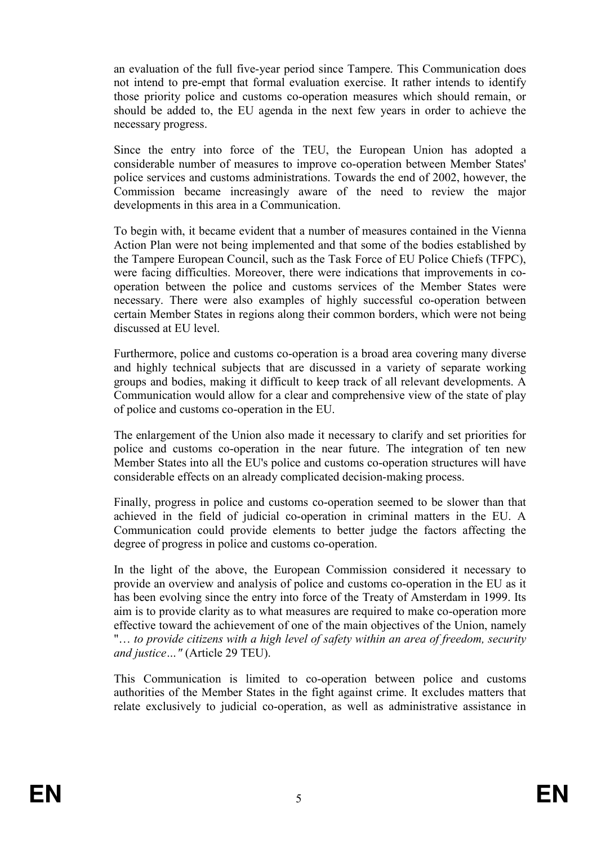an evaluation of the full five-year period since Tampere. This Communication does not intend to pre-empt that formal evaluation exercise. It rather intends to identify those priority police and customs co-operation measures which should remain, or should be added to, the EU agenda in the next few years in order to achieve the necessary progress.

Since the entry into force of the TEU, the European Union has adopted a considerable number of measures to improve co-operation between Member States' police services and customs administrations. Towards the end of 2002, however, the Commission became increasingly aware of the need to review the major developments in this area in a Communication.

To begin with, it became evident that a number of measures contained in the Vienna Action Plan were not being implemented and that some of the bodies established by the Tampere European Council, such as the Task Force of EU Police Chiefs (TFPC), were facing difficulties. Moreover, there were indications that improvements in cooperation between the police and customs services of the Member States were necessary. There were also examples of highly successful co-operation between certain Member States in regions along their common borders, which were not being discussed at EU level.

Furthermore, police and customs co-operation is a broad area covering many diverse and highly technical subjects that are discussed in a variety of separate working groups and bodies, making it difficult to keep track of all relevant developments. A Communication would allow for a clear and comprehensive view of the state of play of police and customs co-operation in the EU.

The enlargement of the Union also made it necessary to clarify and set priorities for police and customs co-operation in the near future. The integration of ten new Member States into all the EU's police and customs co-operation structures will have considerable effects on an already complicated decision-making process.

Finally, progress in police and customs co-operation seemed to be slower than that achieved in the field of judicial co-operation in criminal matters in the EU. A Communication could provide elements to better judge the factors affecting the degree of progress in police and customs co-operation.

In the light of the above, the European Commission considered it necessary to provide an overview and analysis of police and customs co-operation in the EU as it has been evolving since the entry into force of the Treaty of Amsterdam in 1999. Its aim is to provide clarity as to what measures are required to make co-operation more effective toward the achievement of one of the main objectives of the Union, namely "… to provide citizens with a high level of safety within an area of freedom, security and justice…" (Article 29 TEU).

This Communication is limited to co-operation between police and customs authorities of the Member States in the fight against crime. It excludes matters that relate exclusively to judicial co-operation, as well as administrative assistance in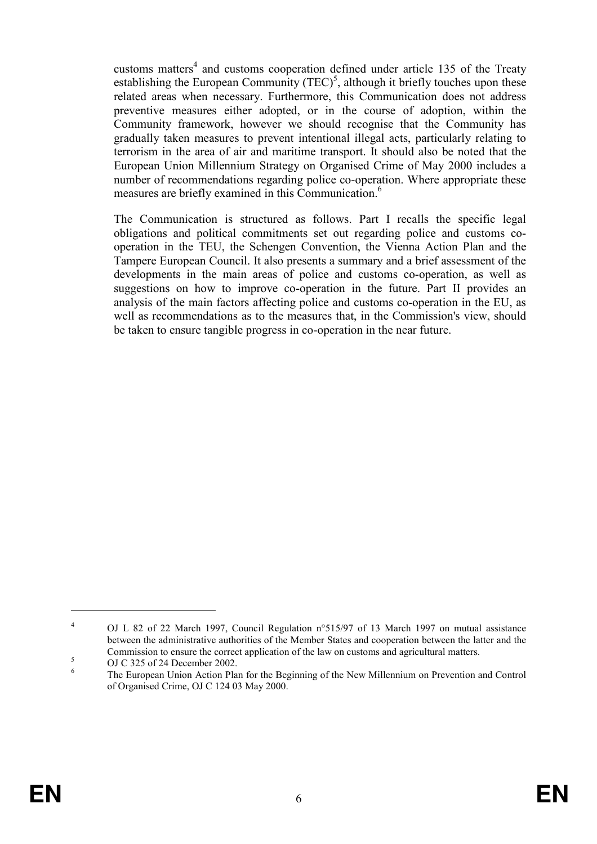customs matters<sup>4</sup> and customs cooperation defined under article 135 of the Treaty establishing the European Community  $(TEC)^5$ , although it briefly touches upon these related areas when necessary. Furthermore, this Communication does not address preventive measures either adopted, or in the course of adoption, within the Community framework, however we should recognise that the Community has gradually taken measures to prevent intentional illegal acts, particularly relating to terrorism in the area of air and maritime transport. It should also be noted that the European Union Millennium Strategy on Organised Crime of May 2000 includes a number of recommendations regarding police co-operation. Where appropriate these measures are briefly examined in this Communication.<sup>6</sup>

The Communication is structured as follows. Part I recalls the specific legal obligations and political commitments set out regarding police and customs cooperation in the TEU, the Schengen Convention, the Vienna Action Plan and the Tampere European Council. It also presents a summary and a brief assessment of the developments in the main areas of police and customs co-operation, as well as suggestions on how to improve co-operation in the future. Part II provides an analysis of the main factors affecting police and customs co-operation in the EU, as well as recommendations as to the measures that, in the Commission's view, should be taken to ensure tangible progress in co-operation in the near future.

<sup>4</sup> OJ L 82 of 22 March 1997, Council Regulation n°515/97 of 13 March 1997 on mutual assistance between the administrative authorities of the Member States and cooperation between the latter and the Commission to ensure the correct application of the law on customs and agricultural matters.

<sup>5</sup> OJ C 325 of 24 December 2002.

<sup>6</sup> The European Union Action Plan for the Beginning of the New Millennium on Prevention and Control of Organised Crime, OJ C 124 03 May 2000.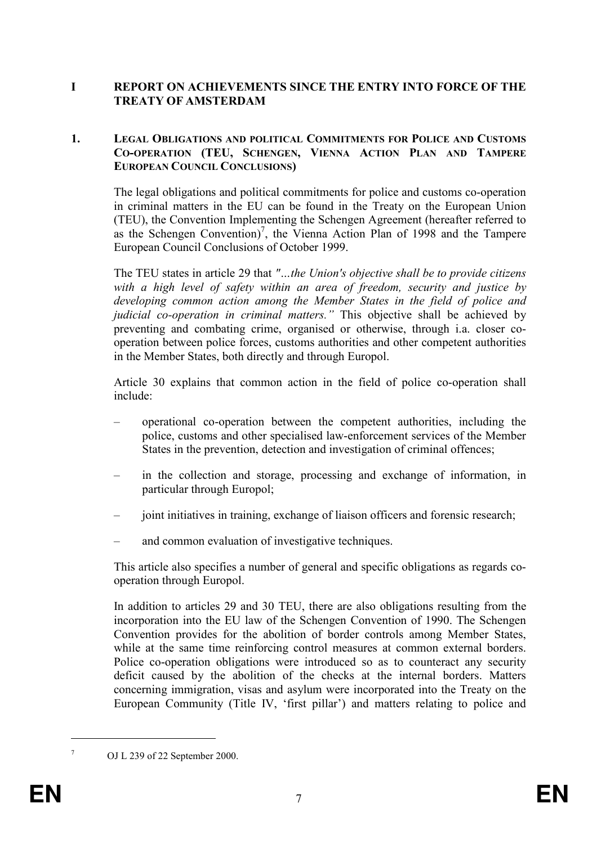# I REPORT ON ACHIEVEMENTS SINCE THE ENTRY INTO FORCE OF THE TREATY OF AMSTERDAM

#### 1. LEGAL OBLIGATIONS AND POLITICAL COMMITMENTS FOR POLICE AND CUSTOMS CO-OPERATION (TEU, SCHENGEN, VIENNA ACTION PLAN AND TAMPERE EUROPEAN COUNCIL CONCLUSIONS)

The legal obligations and political commitments for police and customs co-operation in criminal matters in the EU can be found in the Treaty on the European Union (TEU), the Convention Implementing the Schengen Agreement (hereafter referred to as the Schengen Convention)<sup>7</sup>, the Vienna Action Plan of 1998 and the Tampere European Council Conclusions of October 1999.

The TEU states in article 29 that "…the Union's objective shall be to provide citizens with a high level of safety within an area of freedom, security and justice by developing common action among the Member States in the field of police and judicial co-operation in criminal matters." This objective shall be achieved by preventing and combating crime, organised or otherwise, through i.a. closer cooperation between police forces, customs authorities and other competent authorities in the Member States, both directly and through Europol.

Article 30 explains that common action in the field of police co-operation shall include:

- operational co-operation between the competent authorities, including the police, customs and other specialised law-enforcement services of the Member States in the prevention, detection and investigation of criminal offences;
- in the collection and storage, processing and exchange of information, in particular through Europol;
- joint initiatives in training, exchange of liaison officers and forensic research;
- and common evaluation of investigative techniques.

This article also specifies a number of general and specific obligations as regards cooperation through Europol.

In addition to articles 29 and 30 TEU, there are also obligations resulting from the incorporation into the EU law of the Schengen Convention of 1990. The Schengen Convention provides for the abolition of border controls among Member States, while at the same time reinforcing control measures at common external borders. Police co-operation obligations were introduced so as to counteract any security deficit caused by the abolition of the checks at the internal borders. Matters concerning immigration, visas and asylum were incorporated into the Treaty on the European Community (Title IV, 'first pillar') and matters relating to police and

OJ L 239 of 22 September 2000.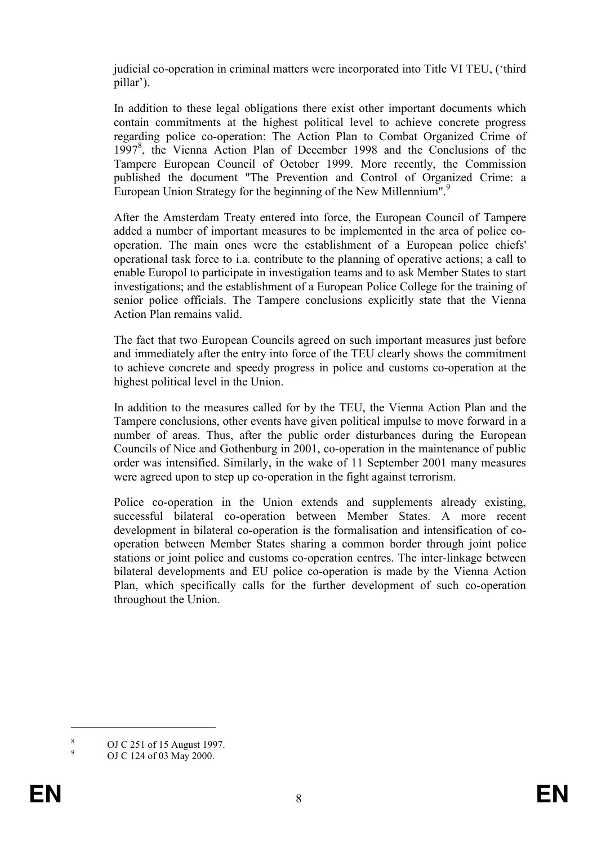judicial co-operation in criminal matters were incorporated into Title VI TEU, ('third pillar').

In addition to these legal obligations there exist other important documents which contain commitments at the highest political level to achieve concrete progress regarding police co-operation: The Action Plan to Combat Organized Crime of 1997<sup>8</sup> , the Vienna Action Plan of December 1998 and the Conclusions of the Tampere European Council of October 1999. More recently, the Commission published the document "The Prevention and Control of Organized Crime: a European Union Strategy for the beginning of the New Millennium".<sup>9</sup>

After the Amsterdam Treaty entered into force, the European Council of Tampere added a number of important measures to be implemented in the area of police cooperation. The main ones were the establishment of a European police chiefs' operational task force to i.a. contribute to the planning of operative actions; a call to enable Europol to participate in investigation teams and to ask Member States to start investigations; and the establishment of a European Police College for the training of senior police officials. The Tampere conclusions explicitly state that the Vienna Action Plan remains valid.

The fact that two European Councils agreed on such important measures just before and immediately after the entry into force of the TEU clearly shows the commitment to achieve concrete and speedy progress in police and customs co-operation at the highest political level in the Union.

In addition to the measures called for by the TEU, the Vienna Action Plan and the Tampere conclusions, other events have given political impulse to move forward in a number of areas. Thus, after the public order disturbances during the European Councils of Nice and Gothenburg in 2001, co-operation in the maintenance of public order was intensified. Similarly, in the wake of 11 September 2001 many measures were agreed upon to step up co-operation in the fight against terrorism.

Police co-operation in the Union extends and supplements already existing, successful bilateral co-operation between Member States. A more recent development in bilateral co-operation is the formalisation and intensification of cooperation between Member States sharing a common border through joint police stations or joint police and customs co-operation centres. The inter-linkage between bilateral developments and EU police co-operation is made by the Vienna Action Plan, which specifically calls for the further development of such co-operation throughout the Union.

<sup>8</sup> OJ C 251 of 15 August 1997. 9

OJ C 124 of 03 May 2000.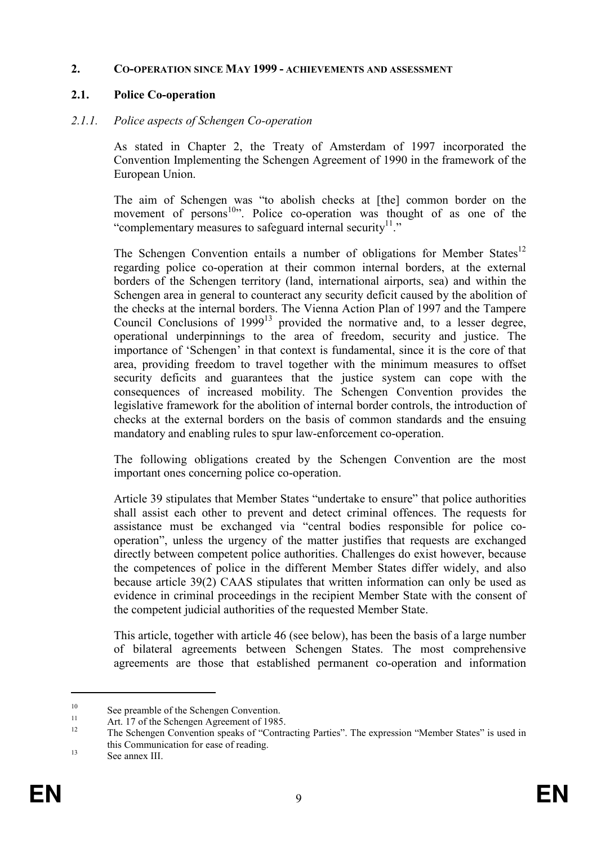#### 2. CO-OPERATION SINCE MAY 1999 - ACHIEVEMENTS AND ASSESSMENT

#### 2.1. Police Co-operation

#### 2.1.1. Police aspects of Schengen Co-operation

As stated in Chapter 2, the Treaty of Amsterdam of 1997 incorporated the Convention Implementing the Schengen Agreement of 1990 in the framework of the European Union.

The aim of Schengen was "to abolish checks at [the] common border on the movement of persons $10$ . Police co-operation was thought of as one of the "complementary measures to safeguard internal security $1$ ."

The Schengen Convention entails a number of obligations for Member States<sup>12</sup> regarding police co-operation at their common internal borders, at the external borders of the Schengen territory (land, international airports, sea) and within the Schengen area in general to counteract any security deficit caused by the abolition of the checks at the internal borders. The Vienna Action Plan of 1997 and the Tampere Council Conclusions of 1999<sup>13</sup> provided the normative and, to a lesser degree, operational underpinnings to the area of freedom, security and justice. The importance of 'Schengen' in that context is fundamental, since it is the core of that area, providing freedom to travel together with the minimum measures to offset security deficits and guarantees that the justice system can cope with the consequences of increased mobility. The Schengen Convention provides the legislative framework for the abolition of internal border controls, the introduction of checks at the external borders on the basis of common standards and the ensuing mandatory and enabling rules to spur law-enforcement co-operation.

The following obligations created by the Schengen Convention are the most important ones concerning police co-operation.

Article 39 stipulates that Member States "undertake to ensure" that police authorities shall assist each other to prevent and detect criminal offences. The requests for assistance must be exchanged via "central bodies responsible for police cooperation", unless the urgency of the matter justifies that requests are exchanged directly between competent police authorities. Challenges do exist however, because the competences of police in the different Member States differ widely, and also because article 39(2) CAAS stipulates that written information can only be used as evidence in criminal proceedings in the recipient Member State with the consent of the competent judicial authorities of the requested Member State.

This article, together with article 46 (see below), has been the basis of a large number of bilateral agreements between Schengen States. The most comprehensive agreements are those that established permanent co-operation and information

<sup>&</sup>lt;sup>10</sup> See preamble of the Schengen Convention.

<sup>&</sup>lt;sup>11</sup> Art. 17 of the Schengen Agreement of 1985.

The Schengen Convention speaks of "Contracting Parties". The expression "Member States" is used in this Communication for ease of reading.

<sup>&</sup>lt;sup>13</sup> See annex III.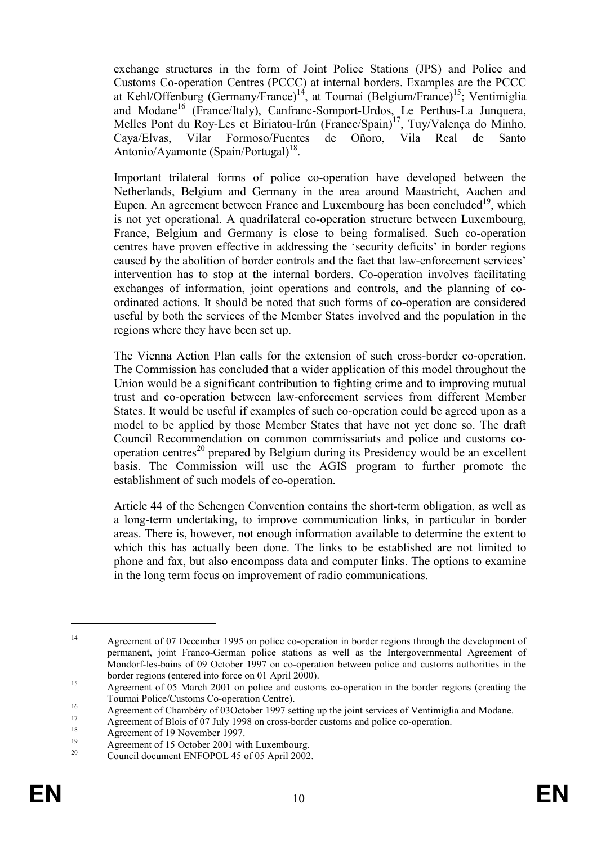exchange structures in the form of Joint Police Stations (JPS) and Police and Customs Co-operation Centres (PCCC) at internal borders. Examples are the PCCC at Kehl/Offenburg (Germany/France)<sup>14</sup>, at Tournai (Belgium/France)<sup>15</sup>; Ventimiglia and Modane<sup>16</sup> (France/Italy), Canfranc-Somport-Urdos, Le Perthus-La Junquera, Melles Pont du Roy-Les et Biriatou-Irún (France/Spain)<sup>17</sup>, Tuy/Valença do Minho, Cava/Elvas. Vilar Formoso/Fuentes de Oñoro. Vila Real de Santo Caya/Elvas, Vilar Formoso/Fuentes de Oñoro, Vila Real de Santo Antonio/Ayamonte (Spain/Portugal)<sup>18</sup>.

Important trilateral forms of police co-operation have developed between the Netherlands, Belgium and Germany in the area around Maastricht, Aachen and Eupen. An agreement between France and Luxembourg has been concluded<sup>19</sup>, which is not yet operational. A quadrilateral co-operation structure between Luxembourg, France, Belgium and Germany is close to being formalised. Such co-operation centres have proven effective in addressing the 'security deficits' in border regions caused by the abolition of border controls and the fact that law-enforcement services' intervention has to stop at the internal borders. Co-operation involves facilitating exchanges of information, joint operations and controls, and the planning of coordinated actions. It should be noted that such forms of co-operation are considered useful by both the services of the Member States involved and the population in the regions where they have been set up.

The Vienna Action Plan calls for the extension of such cross-border co-operation. The Commission has concluded that a wider application of this model throughout the Union would be a significant contribution to fighting crime and to improving mutual trust and co-operation between law-enforcement services from different Member States. It would be useful if examples of such co-operation could be agreed upon as a model to be applied by those Member States that have not yet done so. The draft Council Recommendation on common commissariats and police and customs cooperation centres<sup>20</sup> prepared by Belgium during its Presidency would be an excellent basis. The Commission will use the AGIS program to further promote the establishment of such models of co-operation.

Article 44 of the Schengen Convention contains the short-term obligation, as well as a long-term undertaking, to improve communication links, in particular in border areas. There is, however, not enough information available to determine the extent to which this has actually been done. The links to be established are not limited to phone and fax, but also encompass data and computer links. The options to examine in the long term focus on improvement of radio communications.

<sup>&</sup>lt;sup>14</sup> Agreement of 07 December 1995 on police co-operation in border regions through the development of permanent, joint Franco-German police stations as well as the Intergovernmental Agreement of Mondorf-les-bains of 09 October 1997 on co-operation between police and customs authorities in the border regions (entered into force on 01 April 2000).

<sup>&</sup>lt;sup>15</sup> Agreement of 05 March 2001 on police and customs co-operation in the border regions (creating the Tournai Police/Customs Co-operation Centre).

<sup>&</sup>lt;sup>16</sup> Agreement of Chambéry of 03October 1997 setting up the joint services of Ventimiglia and Modane.

<sup>&</sup>lt;sup>17</sup> Agreement of Blois of 07 July 1998 on cross-border customs and police co-operation.

<sup>&</sup>lt;sup>18</sup> Agreement of 19 November 1997.

<sup>&</sup>lt;sup>19</sup> Agreement of 15 October 2001 with Luxembourg.<br>  $\frac{20}{2}$  Council downset ENEOPOL 45 of 05 April 2002

<sup>20</sup> Council document ENFOPOL 45 of 05 April 2002.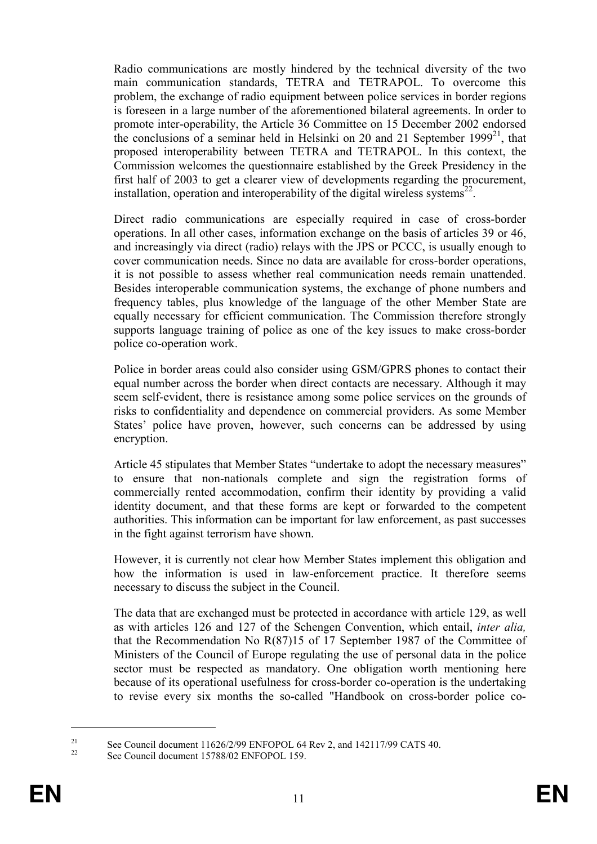Radio communications are mostly hindered by the technical diversity of the two main communication standards, TETRA and TETRAPOL. To overcome this problem, the exchange of radio equipment between police services in border regions is foreseen in a large number of the aforementioned bilateral agreements. In order to promote inter-operability, the Article 36 Committee on 15 December 2002 endorsed the conclusions of a seminar held in Helsinki on 20 and 21 September 1999<sup>21</sup>, that proposed interoperability between TETRA and TETRAPOL. In this context, the Commission welcomes the questionnaire established by the Greek Presidency in the first half of 2003 to get a clearer view of developments regarding the procurement, installation, operation and interoperability of the digital wireless systems<sup>22</sup>.

Direct radio communications are especially required in case of cross-border operations. In all other cases, information exchange on the basis of articles 39 or 46, and increasingly via direct (radio) relays with the JPS or PCCC, is usually enough to cover communication needs. Since no data are available for cross-border operations, it is not possible to assess whether real communication needs remain unattended. Besides interoperable communication systems, the exchange of phone numbers and frequency tables, plus knowledge of the language of the other Member State are equally necessary for efficient communication. The Commission therefore strongly supports language training of police as one of the key issues to make cross-border police co-operation work.

Police in border areas could also consider using GSM/GPRS phones to contact their equal number across the border when direct contacts are necessary. Although it may seem self-evident, there is resistance among some police services on the grounds of risks to confidentiality and dependence on commercial providers. As some Member States' police have proven, however, such concerns can be addressed by using encryption.

Article 45 stipulates that Member States "undertake to adopt the necessary measures" to ensure that non-nationals complete and sign the registration forms of commercially rented accommodation, confirm their identity by providing a valid identity document, and that these forms are kept or forwarded to the competent authorities. This information can be important for law enforcement, as past successes in the fight against terrorism have shown.

However, it is currently not clear how Member States implement this obligation and how the information is used in law-enforcement practice. It therefore seems necessary to discuss the subject in the Council.

The data that are exchanged must be protected in accordance with article 129, as well as with articles 126 and 127 of the Schengen Convention, which entail, inter alia, that the Recommendation No R(87)15 of 17 September 1987 of the Committee of Ministers of the Council of Europe regulating the use of personal data in the police sector must be respected as mandatory. One obligation worth mentioning here because of its operational usefulness for cross-border co-operation is the undertaking to revise every six months the so-called "Handbook on cross-border police co-

<sup>&</sup>lt;sup>21</sup> See Council document  $11626/2/99$  ENFOPOL 64 Rev 2, and  $142117/99$  CATS 40.

See Council document 15788/02 ENFOPOL 159.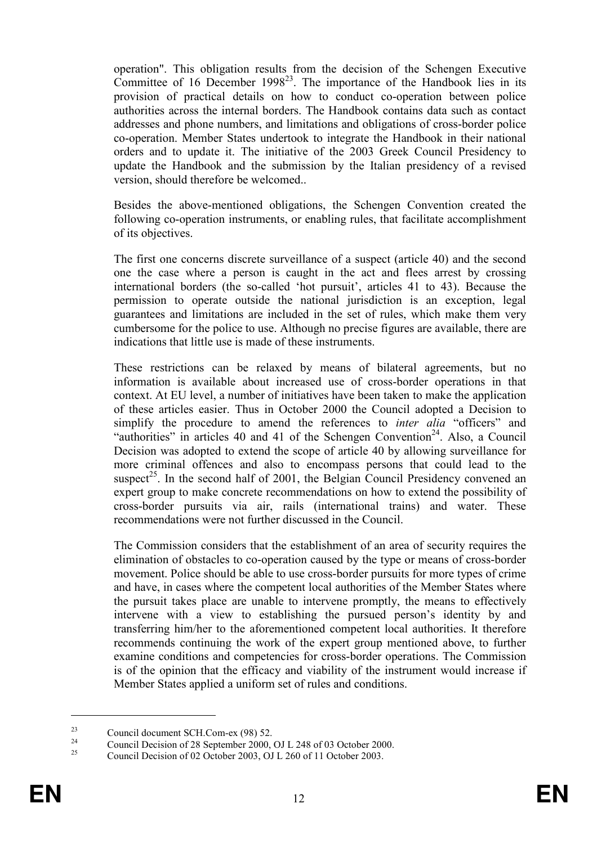operation". This obligation results from the decision of the Schengen Executive Committee of 16 December 1998<sup>23</sup>. The importance of the Handbook lies in its provision of practical details on how to conduct co-operation between police authorities across the internal borders. The Handbook contains data such as contact addresses and phone numbers, and limitations and obligations of cross-border police co-operation. Member States undertook to integrate the Handbook in their national orders and to update it. The initiative of the 2003 Greek Council Presidency to update the Handbook and the submission by the Italian presidency of a revised version, should therefore be welcomed..

Besides the above-mentioned obligations, the Schengen Convention created the following co-operation instruments, or enabling rules, that facilitate accomplishment of its objectives.

The first one concerns discrete surveillance of a suspect (article 40) and the second one the case where a person is caught in the act and flees arrest by crossing international borders (the so-called 'hot pursuit', articles 41 to 43). Because the permission to operate outside the national jurisdiction is an exception, legal guarantees and limitations are included in the set of rules, which make them very cumbersome for the police to use. Although no precise figures are available, there are indications that little use is made of these instruments.

These restrictions can be relaxed by means of bilateral agreements, but no information is available about increased use of cross-border operations in that context. At EU level, a number of initiatives have been taken to make the application of these articles easier. Thus in October 2000 the Council adopted a Decision to simplify the procedure to amend the references to *inter alia* "officers" and "authorities" in articles 40 and 41 of the Schengen Convention<sup>24</sup>. Also, a Council Decision was adopted to extend the scope of article 40 by allowing surveillance for more criminal offences and also to encompass persons that could lead to the suspect<sup>25</sup>. In the second half of 2001, the Belgian Council Presidency convened an expert group to make concrete recommendations on how to extend the possibility of cross-border pursuits via air, rails (international trains) and water. These recommendations were not further discussed in the Council.

The Commission considers that the establishment of an area of security requires the elimination of obstacles to co-operation caused by the type or means of cross-border movement. Police should be able to use cross-border pursuits for more types of crime and have, in cases where the competent local authorities of the Member States where the pursuit takes place are unable to intervene promptly, the means to effectively intervene with a view to establishing the pursued person's identity by and transferring him/her to the aforementioned competent local authorities. It therefore recommends continuing the work of the expert group mentioned above, to further examine conditions and competencies for cross-border operations. The Commission is of the opinion that the efficacy and viability of the instrument would increase if Member States applied a uniform set of rules and conditions.

<sup>&</sup>lt;sup>23</sup> Council document SCH.Com-ex (98) 52.

<sup>&</sup>lt;sup>24</sup> Council Decision of 28 September 2000, OJ L 248 of 03 October 2000.

<sup>25</sup> Council Decision of 02 October 2003, OJ L 260 of 11 October 2003.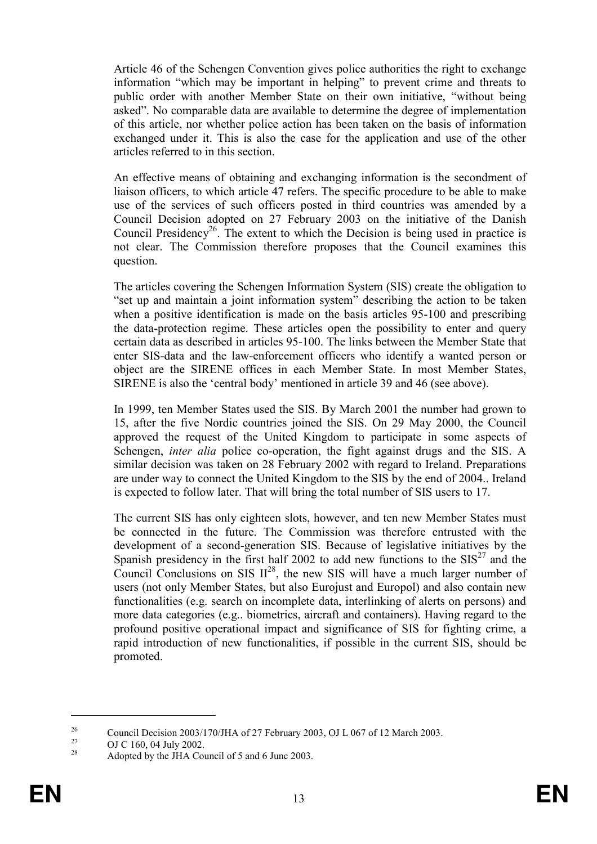Article 46 of the Schengen Convention gives police authorities the right to exchange information "which may be important in helping" to prevent crime and threats to public order with another Member State on their own initiative, "without being asked". No comparable data are available to determine the degree of implementation of this article, nor whether police action has been taken on the basis of information exchanged under it. This is also the case for the application and use of the other articles referred to in this section.

An effective means of obtaining and exchanging information is the secondment of liaison officers, to which article 47 refers. The specific procedure to be able to make use of the services of such officers posted in third countries was amended by a Council Decision adopted on 27 February 2003 on the initiative of the Danish Council Presidency<sup>26</sup>. The extent to which the Decision is being used in practice is not clear. The Commission therefore proposes that the Council examines this question.

The articles covering the Schengen Information System (SIS) create the obligation to "set up and maintain a joint information system" describing the action to be taken when a positive identification is made on the basis articles 95-100 and prescribing the data-protection regime. These articles open the possibility to enter and query certain data as described in articles 95-100. The links between the Member State that enter SIS-data and the law-enforcement officers who identify a wanted person or object are the SIRENE offices in each Member State. In most Member States, SIRENE is also the 'central body' mentioned in article 39 and 46 (see above).

In 1999, ten Member States used the SIS. By March 2001 the number had grown to 15, after the five Nordic countries joined the SIS. On 29 May 2000, the Council approved the request of the United Kingdom to participate in some aspects of Schengen, *inter alia* police co-operation, the fight against drugs and the SIS. A similar decision was taken on 28 February 2002 with regard to Ireland. Preparations are under way to connect the United Kingdom to the SIS by the end of 2004.. Ireland is expected to follow later. That will bring the total number of SIS users to 17.

The current SIS has only eighteen slots, however, and ten new Member States must be connected in the future. The Commission was therefore entrusted with the development of a second-generation SIS. Because of legislative initiatives by the Spanish presidency in the first half 2002 to add new functions to the  $SIS<sup>27</sup>$  and the Council Conclusions on SIS II<sup>28</sup>, the new SIS will have a much larger number of users (not only Member States, but also Eurojust and Europol) and also contain new functionalities (e.g. search on incomplete data, interlinking of alerts on persons) and more data categories (e.g.. biometrics, aircraft and containers). Having regard to the profound positive operational impact and significance of SIS for fighting crime, a rapid introduction of new functionalities, if possible in the current SIS, should be promoted.

<sup>&</sup>lt;sup>26</sup> Council Decision 2003/170/JHA of 27 February 2003, OJ L 067 of 12 March 2003.

<sup>&</sup>lt;sup>27</sup> OJ C 160, 04 July 2002.

Adopted by the JHA Council of 5 and 6 June 2003.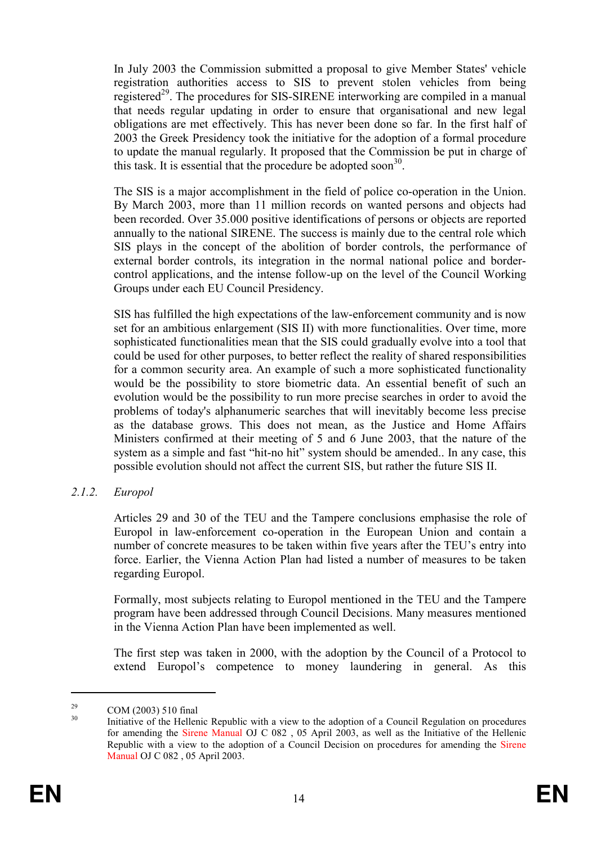In July 2003 the Commission submitted a proposal to give Member States' vehicle registration authorities access to SIS to prevent stolen vehicles from being registered<sup>29</sup>. The procedures for SIS-SIRENE interworking are compiled in a manual that needs regular updating in order to ensure that organisational and new legal obligations are met effectively. This has never been done so far. In the first half of 2003 the Greek Presidency took the initiative for the adoption of a formal procedure to update the manual regularly. It proposed that the Commission be put in charge of this task. It is essential that the procedure be adopted soon $30$ .

The SIS is a major accomplishment in the field of police co-operation in the Union. By March 2003, more than 11 million records on wanted persons and objects had been recorded. Over 35.000 positive identifications of persons or objects are reported annually to the national SIRENE. The success is mainly due to the central role which SIS plays in the concept of the abolition of border controls, the performance of external border controls, its integration in the normal national police and bordercontrol applications, and the intense follow-up on the level of the Council Working Groups under each EU Council Presidency.

SIS has fulfilled the high expectations of the law-enforcement community and is now set for an ambitious enlargement (SIS II) with more functionalities. Over time, more sophisticated functionalities mean that the SIS could gradually evolve into a tool that could be used for other purposes, to better reflect the reality of shared responsibilities for a common security area. An example of such a more sophisticated functionality would be the possibility to store biometric data. An essential benefit of such an evolution would be the possibility to run more precise searches in order to avoid the problems of today's alphanumeric searches that will inevitably become less precise as the database grows. This does not mean, as the Justice and Home Affairs Ministers confirmed at their meeting of 5 and 6 June 2003, that the nature of the system as a simple and fast "hit-no hit" system should be amended.. In any case, this possible evolution should not affect the current SIS, but rather the future SIS II.

2.1.2. Europol

Articles 29 and 30 of the TEU and the Tampere conclusions emphasise the role of Europol in law-enforcement co-operation in the European Union and contain a number of concrete measures to be taken within five years after the TEU's entry into force. Earlier, the Vienna Action Plan had listed a number of measures to be taken regarding Europol.

Formally, most subjects relating to Europol mentioned in the TEU and the Tampere program have been addressed through Council Decisions. Many measures mentioned in the Vienna Action Plan have been implemented as well.

The first step was taken in 2000, with the adoption by the Council of a Protocol to extend Europol's competence to money laundering in general. As this

 $29 \text{ COM } (2003) 510 \text{ final}$ 

Initiative of the Hellenic Republic with a view to the adoption of a Council Regulation on procedures for amending the Sirene Manual OJ C 082 , 05 April 2003, as well as the Initiative of the Hellenic Republic with a view to the adoption of a Council Decision on procedures for amending the Sirene Manual OJ C 082 , 05 April 2003.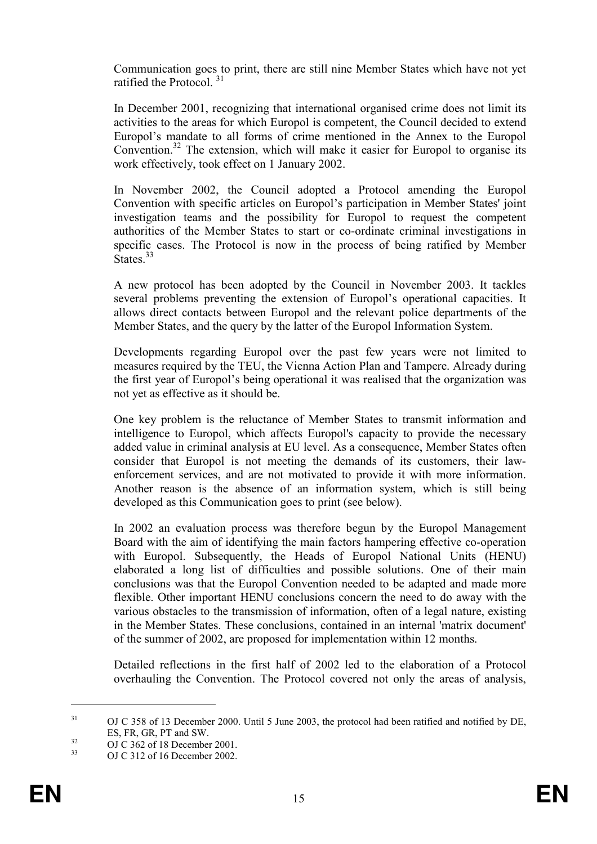Communication goes to print, there are still nine Member States which have not yet ratified the Protocol.<sup>31</sup>

In December 2001, recognizing that international organised crime does not limit its activities to the areas for which Europol is competent, the Council decided to extend Europol's mandate to all forms of crime mentioned in the Annex to the Europol Convention.<sup>32</sup> The extension, which will make it easier for Europol to organise its work effectively, took effect on 1 January 2002.

In November 2002, the Council adopted a Protocol amending the Europol Convention with specific articles on Europol's participation in Member States' joint investigation teams and the possibility for Europol to request the competent authorities of the Member States to start or co-ordinate criminal investigations in specific cases. The Protocol is now in the process of being ratified by Member States.<sup>33</sup>

A new protocol has been adopted by the Council in November 2003. It tackles several problems preventing the extension of Europol's operational capacities. It allows direct contacts between Europol and the relevant police departments of the Member States, and the query by the latter of the Europol Information System.

Developments regarding Europol over the past few years were not limited to measures required by the TEU, the Vienna Action Plan and Tampere. Already during the first year of Europol's being operational it was realised that the organization was not yet as effective as it should be.

One key problem is the reluctance of Member States to transmit information and intelligence to Europol, which affects Europol's capacity to provide the necessary added value in criminal analysis at EU level. As a consequence, Member States often consider that Europol is not meeting the demands of its customers, their lawenforcement services, and are not motivated to provide it with more information. Another reason is the absence of an information system, which is still being developed as this Communication goes to print (see below).

In 2002 an evaluation process was therefore begun by the Europol Management Board with the aim of identifying the main factors hampering effective co-operation with Europol. Subsequently, the Heads of Europol National Units (HENU) elaborated a long list of difficulties and possible solutions. One of their main conclusions was that the Europol Convention needed to be adapted and made more flexible. Other important HENU conclusions concern the need to do away with the various obstacles to the transmission of information, often of a legal nature, existing in the Member States. These conclusions, contained in an internal 'matrix document' of the summer of 2002, are proposed for implementation within 12 months.

Detailed reflections in the first half of 2002 led to the elaboration of a Protocol overhauling the Convention. The Protocol covered not only the areas of analysis,

<sup>&</sup>lt;sup>31</sup> OJ C 358 of 13 December 2000. Until 5 June 2003, the protocol had been ratified and notified by DE, ES, FR, GR, PT and SW.

 $^{32}$  OJ C 362 of 18 December 2001.

<sup>33</sup> OJ C 312 of 16 December 2002.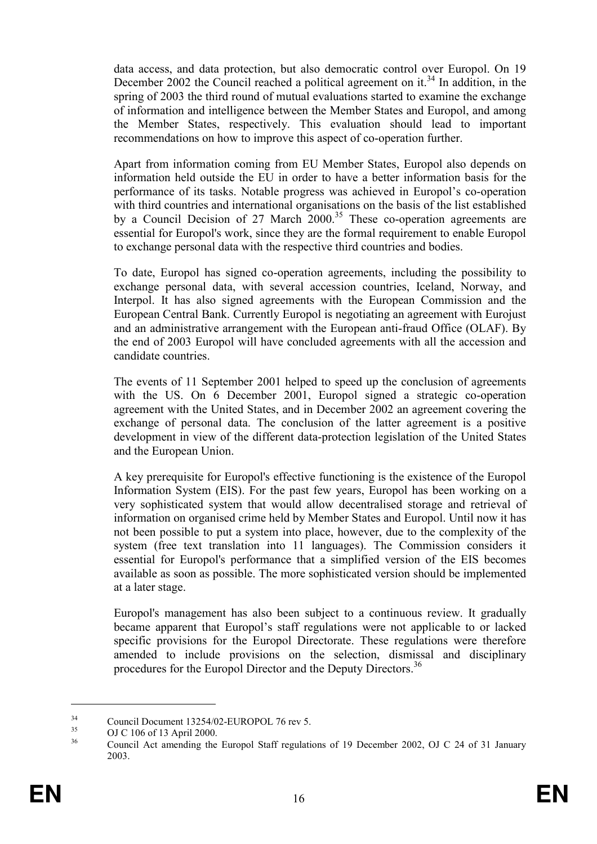data access, and data protection, but also democratic control over Europol. On 19 December 2002 the Council reached a political agreement on it.<sup>34</sup> In addition, in the spring of 2003 the third round of mutual evaluations started to examine the exchange of information and intelligence between the Member States and Europol, and among the Member States, respectively. This evaluation should lead to important recommendations on how to improve this aspect of co-operation further.

Apart from information coming from EU Member States, Europol also depends on information held outside the EU in order to have a better information basis for the performance of its tasks. Notable progress was achieved in Europol's co-operation with third countries and international organisations on the basis of the list established by a Council Decision of 27 March  $2000^{35}$  These co-operation agreements are essential for Europol's work, since they are the formal requirement to enable Europol to exchange personal data with the respective third countries and bodies.

To date, Europol has signed co-operation agreements, including the possibility to exchange personal data, with several accession countries, Iceland, Norway, and Interpol. It has also signed agreements with the European Commission and the European Central Bank. Currently Europol is negotiating an agreement with Eurojust and an administrative arrangement with the European anti-fraud Office (OLAF). By the end of 2003 Europol will have concluded agreements with all the accession and candidate countries.

The events of 11 September 2001 helped to speed up the conclusion of agreements with the US. On 6 December 2001, Europol signed a strategic co-operation agreement with the United States, and in December 2002 an agreement covering the exchange of personal data. The conclusion of the latter agreement is a positive development in view of the different data-protection legislation of the United States and the European Union.

A key prerequisite for Europol's effective functioning is the existence of the Europol Information System (EIS). For the past few years, Europol has been working on a very sophisticated system that would allow decentralised storage and retrieval of information on organised crime held by Member States and Europol. Until now it has not been possible to put a system into place, however, due to the complexity of the system (free text translation into 11 languages). The Commission considers it essential for Europol's performance that a simplified version of the EIS becomes available as soon as possible. The more sophisticated version should be implemented at a later stage.

Europol's management has also been subject to a continuous review. It gradually became apparent that Europol's staff regulations were not applicable to or lacked specific provisions for the Europol Directorate. These regulations were therefore amended to include provisions on the selection, dismissal and disciplinary procedures for the Europol Director and the Deputy Directors.<sup>36</sup>

<sup>&</sup>lt;sup>34</sup> Council Document 13254/02-EUROPOL 76 rev 5.

 $^{35}$  OJ C 106 of 13 April 2000.

<sup>36</sup> Council Act amending the Europol Staff regulations of 19 December 2002, OJ C 24 of 31 January 2003.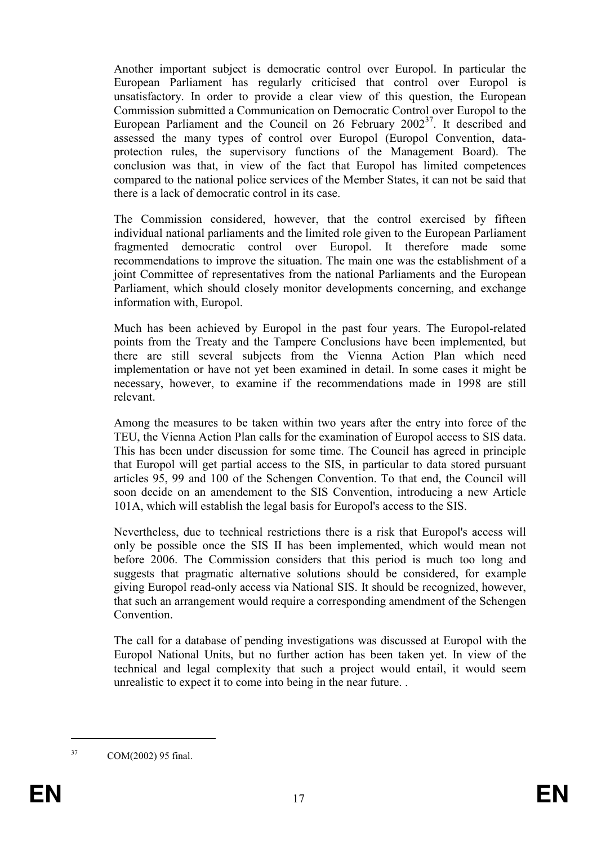Another important subject is democratic control over Europol. In particular the European Parliament has regularly criticised that control over Europol is unsatisfactory. In order to provide a clear view of this question, the European Commission submitted a Communication on Democratic Control over Europol to the European Parliament and the Council on 26 February  $2002^{37}$ . It described and assessed the many types of control over Europol (Europol Convention, dataprotection rules, the supervisory functions of the Management Board). The conclusion was that, in view of the fact that Europol has limited competences compared to the national police services of the Member States, it can not be said that there is a lack of democratic control in its case.

The Commission considered, however, that the control exercised by fifteen individual national parliaments and the limited role given to the European Parliament fragmented democratic control over Europol. It therefore made some recommendations to improve the situation. The main one was the establishment of a joint Committee of representatives from the national Parliaments and the European Parliament, which should closely monitor developments concerning, and exchange information with, Europol.

Much has been achieved by Europol in the past four years. The Europol-related points from the Treaty and the Tampere Conclusions have been implemented, but there are still several subjects from the Vienna Action Plan which need implementation or have not yet been examined in detail. In some cases it might be necessary, however, to examine if the recommendations made in 1998 are still relevant.

Among the measures to be taken within two years after the entry into force of the TEU, the Vienna Action Plan calls for the examination of Europol access to SIS data. This has been under discussion for some time. The Council has agreed in principle that Europol will get partial access to the SIS, in particular to data stored pursuant articles 95, 99 and 100 of the Schengen Convention. To that end, the Council will soon decide on an amendement to the SIS Convention, introducing a new Article 101A, which will establish the legal basis for Europol's access to the SIS.

Nevertheless, due to technical restrictions there is a risk that Europol's access will only be possible once the SIS II has been implemented, which would mean not before 2006. The Commission considers that this period is much too long and suggests that pragmatic alternative solutions should be considered, for example giving Europol read-only access via National SIS. It should be recognized, however, that such an arrangement would require a corresponding amendment of the Schengen **Convention** 

The call for a database of pending investigations was discussed at Europol with the Europol National Units, but no further action has been taken yet. In view of the technical and legal complexity that such a project would entail, it would seem unrealistic to expect it to come into being in the near future. .

<sup>37</sup> COM(2002) 95 final.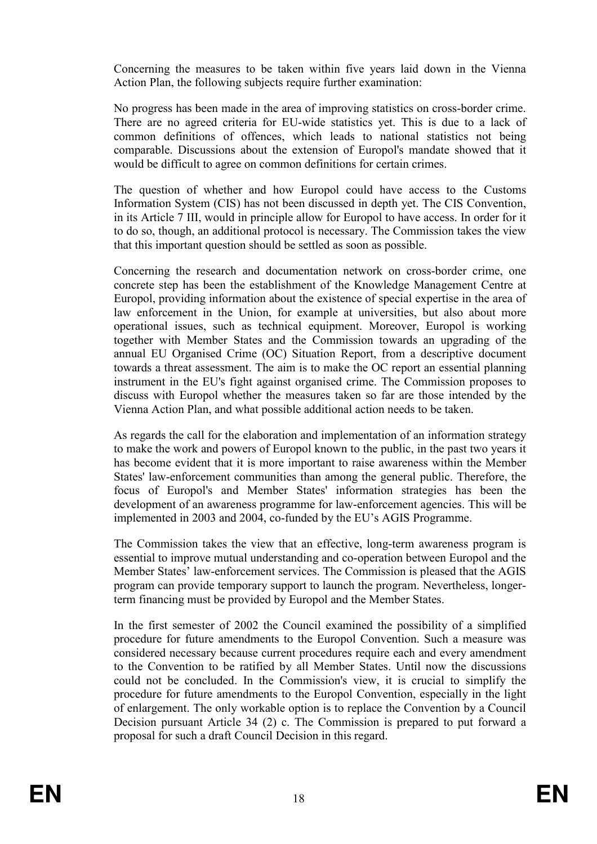Concerning the measures to be taken within five years laid down in the Vienna Action Plan, the following subjects require further examination:

No progress has been made in the area of improving statistics on cross-border crime. There are no agreed criteria for EU-wide statistics yet. This is due to a lack of common definitions of offences, which leads to national statistics not being comparable. Discussions about the extension of Europol's mandate showed that it would be difficult to agree on common definitions for certain crimes.

The question of whether and how Europol could have access to the Customs Information System (CIS) has not been discussed in depth yet. The CIS Convention, in its Article 7 III, would in principle allow for Europol to have access. In order for it to do so, though, an additional protocol is necessary. The Commission takes the view that this important question should be settled as soon as possible.

Concerning the research and documentation network on cross-border crime, one concrete step has been the establishment of the Knowledge Management Centre at Europol, providing information about the existence of special expertise in the area of law enforcement in the Union, for example at universities, but also about more operational issues, such as technical equipment. Moreover, Europol is working together with Member States and the Commission towards an upgrading of the annual EU Organised Crime (OC) Situation Report, from a descriptive document towards a threat assessment. The aim is to make the OC report an essential planning instrument in the EU's fight against organised crime. The Commission proposes to discuss with Europol whether the measures taken so far are those intended by the Vienna Action Plan, and what possible additional action needs to be taken.

As regards the call for the elaboration and implementation of an information strategy to make the work and powers of Europol known to the public, in the past two years it has become evident that it is more important to raise awareness within the Member States' law-enforcement communities than among the general public. Therefore, the focus of Europol's and Member States' information strategies has been the development of an awareness programme for law-enforcement agencies. This will be implemented in 2003 and 2004, co-funded by the EU's AGIS Programme.

The Commission takes the view that an effective, long-term awareness program is essential to improve mutual understanding and co-operation between Europol and the Member States' law-enforcement services. The Commission is pleased that the AGIS program can provide temporary support to launch the program. Nevertheless, longerterm financing must be provided by Europol and the Member States.

In the first semester of 2002 the Council examined the possibility of a simplified procedure for future amendments to the Europol Convention. Such a measure was considered necessary because current procedures require each and every amendment to the Convention to be ratified by all Member States. Until now the discussions could not be concluded. In the Commission's view, it is crucial to simplify the procedure for future amendments to the Europol Convention, especially in the light of enlargement. The only workable option is to replace the Convention by a Council Decision pursuant Article 34 (2) c. The Commission is prepared to put forward a proposal for such a draft Council Decision in this regard.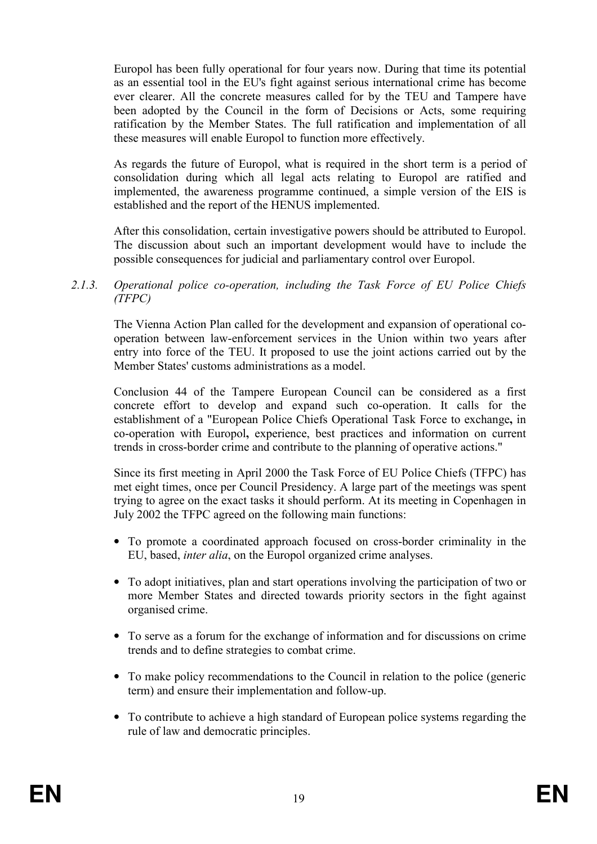Europol has been fully operational for four years now. During that time its potential as an essential tool in the EU's fight against serious international crime has become ever clearer. All the concrete measures called for by the TEU and Tampere have been adopted by the Council in the form of Decisions or Acts, some requiring ratification by the Member States. The full ratification and implementation of all these measures will enable Europol to function more effectively.

As regards the future of Europol, what is required in the short term is a period of consolidation during which all legal acts relating to Europol are ratified and implemented, the awareness programme continued, a simple version of the EIS is established and the report of the HENUS implemented.

After this consolidation, certain investigative powers should be attributed to Europol. The discussion about such an important development would have to include the possible consequences for judicial and parliamentary control over Europol.

2.1.3. Operational police co-operation, including the Task Force of EU Police Chiefs (TFPC)

The Vienna Action Plan called for the development and expansion of operational cooperation between law-enforcement services in the Union within two years after entry into force of the TEU. It proposed to use the joint actions carried out by the Member States' customs administrations as a model.

Conclusion 44 of the Tampere European Council can be considered as a first concrete effort to develop and expand such co-operation. It calls for the establishment of a "European Police Chiefs Operational Task Force to exchange, in co-operation with Europol, experience, best practices and information on current trends in cross-border crime and contribute to the planning of operative actions."

Since its first meeting in April 2000 the Task Force of EU Police Chiefs (TFPC) has met eight times, once per Council Presidency. A large part of the meetings was spent trying to agree on the exact tasks it should perform. At its meeting in Copenhagen in July 2002 the TFPC agreed on the following main functions:

- To promote a coordinated approach focused on cross-border criminality in the EU, based, inter alia, on the Europol organized crime analyses.
- To adopt initiatives, plan and start operations involving the participation of two or more Member States and directed towards priority sectors in the fight against organised crime.
- To serve as a forum for the exchange of information and for discussions on crime trends and to define strategies to combat crime.
- To make policy recommendations to the Council in relation to the police (generic term) and ensure their implementation and follow-up.
- To contribute to achieve a high standard of European police systems regarding the rule of law and democratic principles.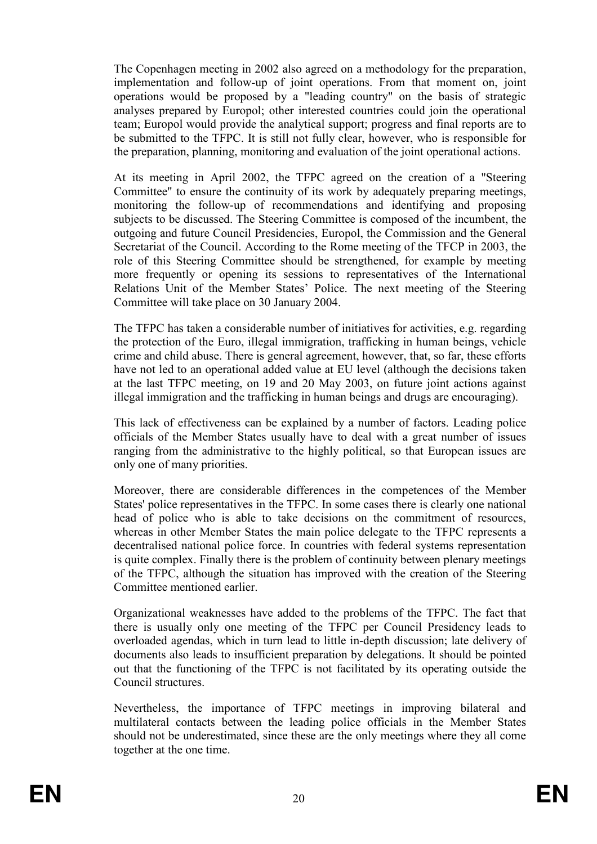The Copenhagen meeting in 2002 also agreed on a methodology for the preparation, implementation and follow-up of joint operations. From that moment on, joint operations would be proposed by a "leading country" on the basis of strategic analyses prepared by Europol; other interested countries could join the operational team; Europol would provide the analytical support; progress and final reports are to be submitted to the TFPC. It is still not fully clear, however, who is responsible for the preparation, planning, monitoring and evaluation of the joint operational actions.

At its meeting in April 2002, the TFPC agreed on the creation of a "Steering Committee" to ensure the continuity of its work by adequately preparing meetings, monitoring the follow-up of recommendations and identifying and proposing subjects to be discussed. The Steering Committee is composed of the incumbent, the outgoing and future Council Presidencies, Europol, the Commission and the General Secretariat of the Council. According to the Rome meeting of the TFCP in 2003, the role of this Steering Committee should be strengthened, for example by meeting more frequently or opening its sessions to representatives of the International Relations Unit of the Member States' Police. The next meeting of the Steering Committee will take place on 30 January 2004.

The TFPC has taken a considerable number of initiatives for activities, e.g. regarding the protection of the Euro, illegal immigration, trafficking in human beings, vehicle crime and child abuse. There is general agreement, however, that, so far, these efforts have not led to an operational added value at EU level (although the decisions taken at the last TFPC meeting, on 19 and 20 May 2003, on future joint actions against illegal immigration and the trafficking in human beings and drugs are encouraging).

This lack of effectiveness can be explained by a number of factors. Leading police officials of the Member States usually have to deal with a great number of issues ranging from the administrative to the highly political, so that European issues are only one of many priorities.

Moreover, there are considerable differences in the competences of the Member States' police representatives in the TFPC. In some cases there is clearly one national head of police who is able to take decisions on the commitment of resources, whereas in other Member States the main police delegate to the TFPC represents a decentralised national police force. In countries with federal systems representation is quite complex. Finally there is the problem of continuity between plenary meetings of the TFPC, although the situation has improved with the creation of the Steering Committee mentioned earlier.

Organizational weaknesses have added to the problems of the TFPC. The fact that there is usually only one meeting of the TFPC per Council Presidency leads to overloaded agendas, which in turn lead to little in-depth discussion; late delivery of documents also leads to insufficient preparation by delegations. It should be pointed out that the functioning of the TFPC is not facilitated by its operating outside the Council structures.

Nevertheless, the importance of TFPC meetings in improving bilateral and multilateral contacts between the leading police officials in the Member States should not be underestimated, since these are the only meetings where they all come together at the one time.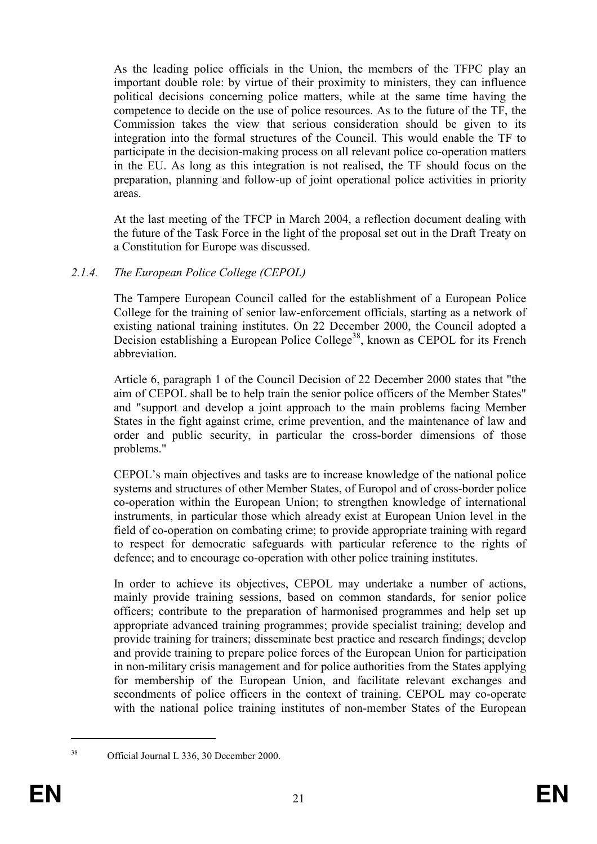As the leading police officials in the Union, the members of the TFPC play an important double role: by virtue of their proximity to ministers, they can influence political decisions concerning police matters, while at the same time having the competence to decide on the use of police resources. As to the future of the TF, the Commission takes the view that serious consideration should be given to its integration into the formal structures of the Council. This would enable the TF to participate in the decision-making process on all relevant police co-operation matters in the EU. As long as this integration is not realised, the TF should focus on the preparation, planning and follow-up of joint operational police activities in priority areas.

At the last meeting of the TFCP in March 2004, a reflection document dealing with the future of the Task Force in the light of the proposal set out in the Draft Treaty on a Constitution for Europe was discussed.

# 2.1.4. The European Police College (CEPOL)

The Tampere European Council called for the establishment of a European Police College for the training of senior law-enforcement officials, starting as a network of existing national training institutes. On 22 December 2000, the Council adopted a Decision establishing a European Police College<sup>38</sup>, known as CEPOL for its French abbreviation.

Article 6, paragraph 1 of the Council Decision of 22 December 2000 states that "the aim of CEPOL shall be to help train the senior police officers of the Member States" and "support and develop a joint approach to the main problems facing Member States in the fight against crime, crime prevention, and the maintenance of law and order and public security, in particular the cross-border dimensions of those problems."

CEPOL's main objectives and tasks are to increase knowledge of the national police systems and structures of other Member States, of Europol and of cross-border police co-operation within the European Union; to strengthen knowledge of international instruments, in particular those which already exist at European Union level in the field of co-operation on combating crime; to provide appropriate training with regard to respect for democratic safeguards with particular reference to the rights of defence; and to encourage co-operation with other police training institutes.

In order to achieve its objectives, CEPOL may undertake a number of actions, mainly provide training sessions, based on common standards, for senior police officers; contribute to the preparation of harmonised programmes and help set up appropriate advanced training programmes; provide specialist training; develop and provide training for trainers; disseminate best practice and research findings; develop and provide training to prepare police forces of the European Union for participation in non-military crisis management and for police authorities from the States applying for membership of the European Union, and facilitate relevant exchanges and secondments of police officers in the context of training. CEPOL may co-operate with the national police training institutes of non-member States of the European

 $\overline{a}$ 

<sup>38</sup> Official Journal L 336, 30 December 2000.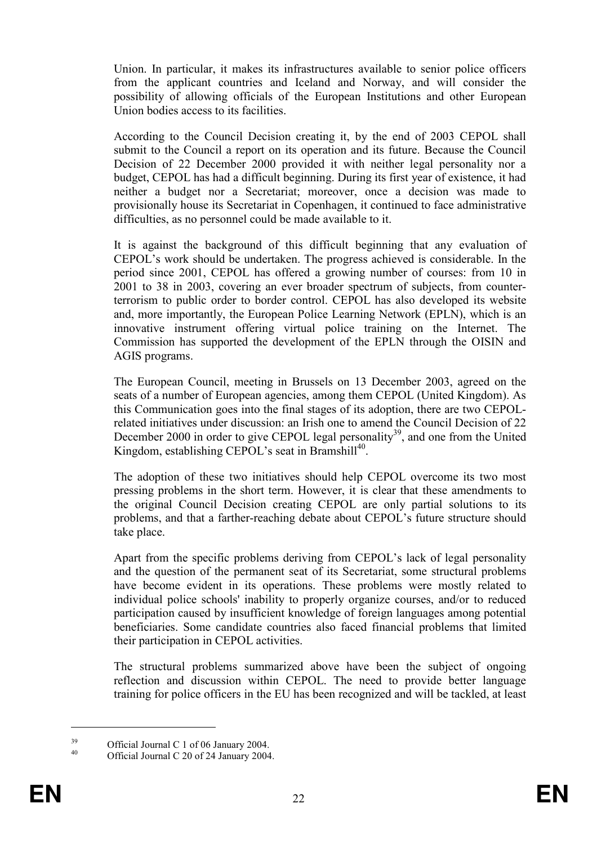Union. In particular, it makes its infrastructures available to senior police officers from the applicant countries and Iceland and Norway, and will consider the possibility of allowing officials of the European Institutions and other European Union bodies access to its facilities.

According to the Council Decision creating it, by the end of 2003 CEPOL shall submit to the Council a report on its operation and its future. Because the Council Decision of 22 December 2000 provided it with neither legal personality nor a budget, CEPOL has had a difficult beginning. During its first year of existence, it had neither a budget nor a Secretariat; moreover, once a decision was made to provisionally house its Secretariat in Copenhagen, it continued to face administrative difficulties, as no personnel could be made available to it.

It is against the background of this difficult beginning that any evaluation of CEPOL's work should be undertaken. The progress achieved is considerable. In the period since 2001, CEPOL has offered a growing number of courses: from 10 in 2001 to 38 in 2003, covering an ever broader spectrum of subjects, from counterterrorism to public order to border control. CEPOL has also developed its website and, more importantly, the European Police Learning Network (EPLN), which is an innovative instrument offering virtual police training on the Internet. The Commission has supported the development of the EPLN through the OISIN and AGIS programs.

The European Council, meeting in Brussels on 13 December 2003, agreed on the seats of a number of European agencies, among them CEPOL (United Kingdom). As this Communication goes into the final stages of its adoption, there are two CEPOLrelated initiatives under discussion: an Irish one to amend the Council Decision of 22 December 2000 in order to give CEPOL legal personality<sup>39</sup>, and one from the United Kingdom, establishing CEPOL's seat in Bramshill<sup>40</sup>.

The adoption of these two initiatives should help CEPOL overcome its two most pressing problems in the short term. However, it is clear that these amendments to the original Council Decision creating CEPOL are only partial solutions to its problems, and that a farther-reaching debate about CEPOL's future structure should take place.

Apart from the specific problems deriving from CEPOL's lack of legal personality and the question of the permanent seat of its Secretariat, some structural problems have become evident in its operations. These problems were mostly related to individual police schools' inability to properly organize courses, and/or to reduced participation caused by insufficient knowledge of foreign languages among potential beneficiaries. Some candidate countries also faced financial problems that limited their participation in CEPOL activities.

The structural problems summarized above have been the subject of ongoing reflection and discussion within CEPOL. The need to provide better language training for police officers in the EU has been recognized and will be tackled, at least

<sup>&</sup>lt;sup>39</sup> Official Journal C 1 of 06 January 2004.

Official Journal C 20 of 24 January 2004.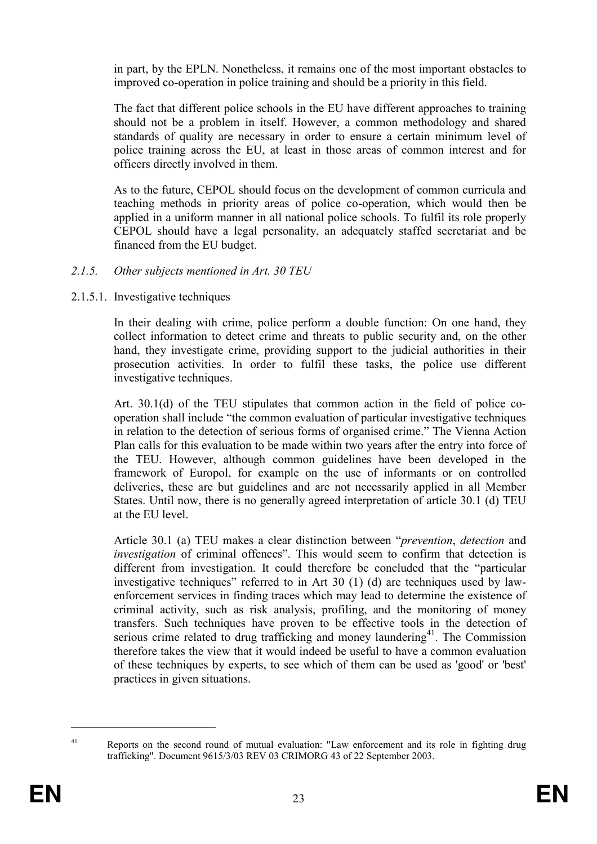in part, by the EPLN. Nonetheless, it remains one of the most important obstacles to improved co-operation in police training and should be a priority in this field.

The fact that different police schools in the EU have different approaches to training should not be a problem in itself. However, a common methodology and shared standards of quality are necessary in order to ensure a certain minimum level of police training across the EU, at least in those areas of common interest and for officers directly involved in them.

As to the future, CEPOL should focus on the development of common curricula and teaching methods in priority areas of police co-operation, which would then be applied in a uniform manner in all national police schools. To fulfil its role properly CEPOL should have a legal personality, an adequately staffed secretariat and be financed from the EU budget.

# 2.1.5. Other subjects mentioned in Art. 30 TEU

2.1.5.1. Investigative techniques

In their dealing with crime, police perform a double function: On one hand, they collect information to detect crime and threats to public security and, on the other hand, they investigate crime, providing support to the judicial authorities in their prosecution activities. In order to fulfil these tasks, the police use different investigative techniques.

Art. 30.1(d) of the TEU stipulates that common action in the field of police cooperation shall include "the common evaluation of particular investigative techniques in relation to the detection of serious forms of organised crime." The Vienna Action Plan calls for this evaluation to be made within two years after the entry into force of the TEU. However, although common guidelines have been developed in the framework of Europol, for example on the use of informants or on controlled deliveries, these are but guidelines and are not necessarily applied in all Member States. Until now, there is no generally agreed interpretation of article 30.1 (d) TEU at the EU level.

Article 30.1 (a) TEU makes a clear distinction between "prevention, detection and investigation of criminal offences". This would seem to confirm that detection is different from investigation. It could therefore be concluded that the "particular investigative techniques" referred to in Art 30 (1) (d) are techniques used by lawenforcement services in finding traces which may lead to determine the existence of criminal activity, such as risk analysis, profiling, and the monitoring of money transfers. Such techniques have proven to be effective tools in the detection of serious crime related to drug trafficking and money laundering<sup>41</sup>. The Commission therefore takes the view that it would indeed be useful to have a common evaluation of these techniques by experts, to see which of them can be used as 'good' or 'best' practices in given situations.

<sup>41</sup> Reports on the second round of mutual evaluation: "Law enforcement and its role in fighting drug trafficking". Document 9615/3/03 REV 03 CRIMORG 43 of 22 September 2003.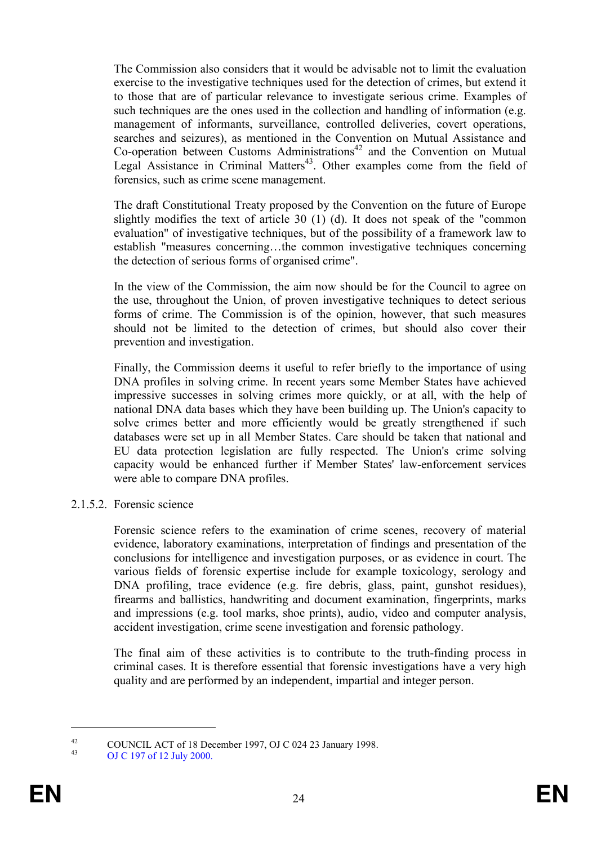The Commission also considers that it would be advisable not to limit the evaluation exercise to the investigative techniques used for the detection of crimes, but extend it to those that are of particular relevance to investigate serious crime. Examples of such techniques are the ones used in the collection and handling of information (e.g. management of informants, surveillance, controlled deliveries, covert operations, searches and seizures), as mentioned in the Convention on Mutual Assistance and  $Co$ -operation between Customs Administrations<sup>42</sup> and the Convention on Mutual Legal Assistance in Criminal Matters<sup>43</sup>. Other examples come from the field of forensics, such as crime scene management.

The draft Constitutional Treaty proposed by the Convention on the future of Europe slightly modifies the text of article 30 (1) (d). It does not speak of the "common evaluation" of investigative techniques, but of the possibility of a framework law to establish "measures concerning…the common investigative techniques concerning the detection of serious forms of organised crime".

In the view of the Commission, the aim now should be for the Council to agree on the use, throughout the Union, of proven investigative techniques to detect serious forms of crime. The Commission is of the opinion, however, that such measures should not be limited to the detection of crimes, but should also cover their prevention and investigation.

Finally, the Commission deems it useful to refer briefly to the importance of using DNA profiles in solving crime. In recent years some Member States have achieved impressive successes in solving crimes more quickly, or at all, with the help of national DNA data bases which they have been building up. The Union's capacity to solve crimes better and more efficiently would be greatly strengthened if such databases were set up in all Member States. Care should be taken that national and EU data protection legislation are fully respected. The Union's crime solving capacity would be enhanced further if Member States' law-enforcement services were able to compare DNA profiles.

2.1.5.2. Forensic science

Forensic science refers to the examination of crime scenes, recovery of material evidence, laboratory examinations, interpretation of findings and presentation of the conclusions for intelligence and investigation purposes, or as evidence in court. The various fields of forensic expertise include for example toxicology, serology and DNA profiling, trace evidence (e.g. fire debris, glass, paint, gunshot residues), firearms and ballistics, handwriting and document examination, fingerprints, marks and impressions (e.g. tool marks, shoe prints), audio, video and computer analysis, accident investigation, crime scene investigation and forensic pathology.

The final aim of these activities is to contribute to the truth-finding process in criminal cases. It is therefore essential that forensic investigations have a very high quality and are performed by an independent, impartial and integer person.

<sup>42</sup> COUNCIL ACT of 18 December 1997, OJ C 024 23 January 1998.

<sup>43</sup> OJ C 197 of 12 July 2000.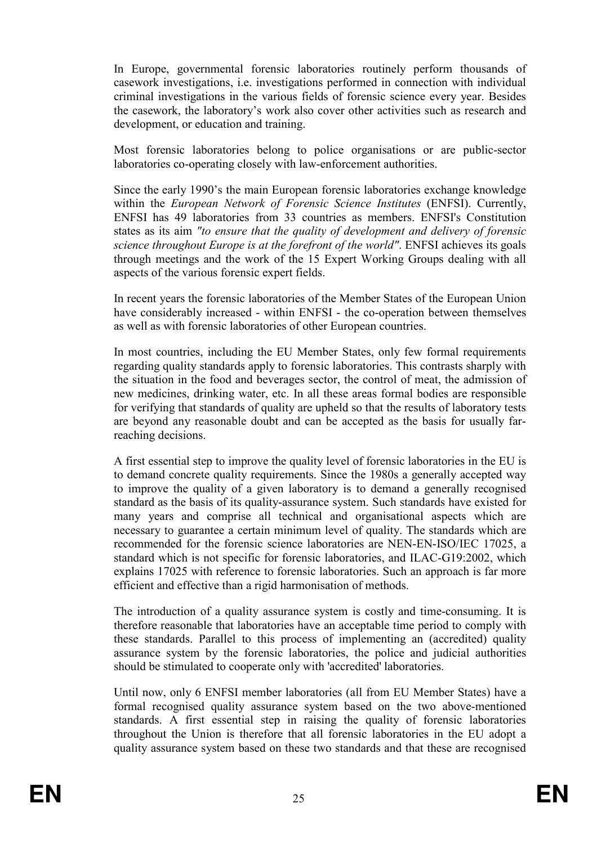In Europe, governmental forensic laboratories routinely perform thousands of casework investigations, i.e. investigations performed in connection with individual criminal investigations in the various fields of forensic science every year. Besides the casework, the laboratory's work also cover other activities such as research and development, or education and training.

Most forensic laboratories belong to police organisations or are public-sector laboratories co-operating closely with law-enforcement authorities.

Since the early 1990's the main European forensic laboratories exchange knowledge within the European Network of Forensic Science Institutes (ENFSI). Currently, ENFSI has 49 laboratories from 33 countries as members. ENFSI's Constitution states as its aim "to ensure that the quality of development and delivery of forensic science throughout Europe is at the forefront of the world". ENFSI achieves its goals through meetings and the work of the 15 Expert Working Groups dealing with all aspects of the various forensic expert fields.

In recent years the forensic laboratories of the Member States of the European Union have considerably increased - within ENFSI - the co-operation between themselves as well as with forensic laboratories of other European countries.

In most countries, including the EU Member States, only few formal requirements regarding quality standards apply to forensic laboratories. This contrasts sharply with the situation in the food and beverages sector, the control of meat, the admission of new medicines, drinking water, etc. In all these areas formal bodies are responsible for verifying that standards of quality are upheld so that the results of laboratory tests are beyond any reasonable doubt and can be accepted as the basis for usually farreaching decisions.

A first essential step to improve the quality level of forensic laboratories in the EU is to demand concrete quality requirements. Since the 1980s a generally accepted way to improve the quality of a given laboratory is to demand a generally recognised standard as the basis of its quality-assurance system. Such standards have existed for many years and comprise all technical and organisational aspects which are necessary to guarantee a certain minimum level of quality. The standards which are recommended for the forensic science laboratories are NEN-EN-ISO/IEC 17025, a standard which is not specific for forensic laboratories, and ILAC-G19:2002, which explains 17025 with reference to forensic laboratories. Such an approach is far more efficient and effective than a rigid harmonisation of methods.

The introduction of a quality assurance system is costly and time-consuming. It is therefore reasonable that laboratories have an acceptable time period to comply with these standards. Parallel to this process of implementing an (accredited) quality assurance system by the forensic laboratories, the police and judicial authorities should be stimulated to cooperate only with 'accredited' laboratories.

Until now, only 6 ENFSI member laboratories (all from EU Member States) have a formal recognised quality assurance system based on the two above-mentioned standards. A first essential step in raising the quality of forensic laboratories throughout the Union is therefore that all forensic laboratories in the EU adopt a quality assurance system based on these two standards and that these are recognised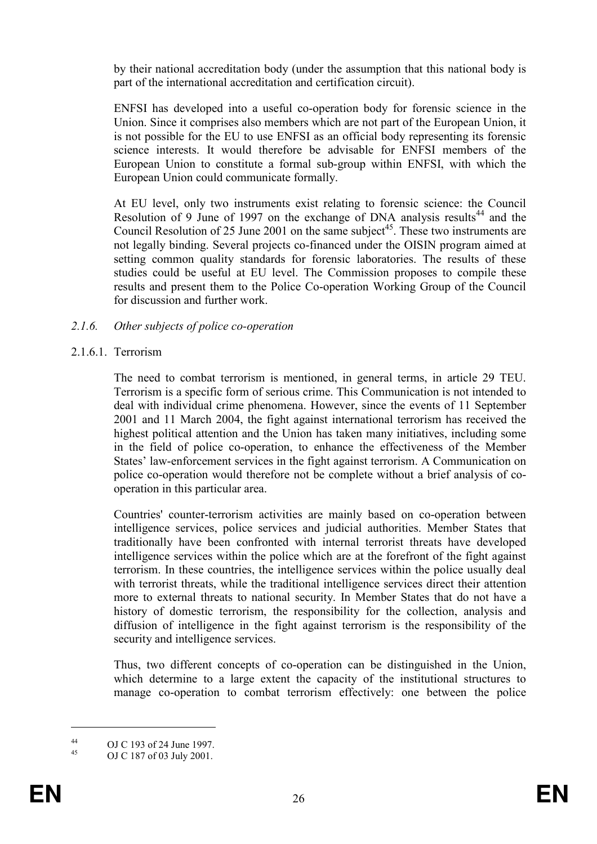by their national accreditation body (under the assumption that this national body is part of the international accreditation and certification circuit).

ENFSI has developed into a useful co-operation body for forensic science in the Union. Since it comprises also members which are not part of the European Union, it is not possible for the EU to use ENFSI as an official body representing its forensic science interests. It would therefore be advisable for ENFSI members of the European Union to constitute a formal sub-group within ENFSI, with which the European Union could communicate formally.

At EU level, only two instruments exist relating to forensic science: the Council Resolution of 9 June of 1997 on the exchange of DNA analysis results<sup>44</sup> and the Council Resolution of 25 June 2001 on the same subject<sup>45</sup>. These two instruments are not legally binding. Several projects co-financed under the OISIN program aimed at setting common quality standards for forensic laboratories. The results of these studies could be useful at EU level. The Commission proposes to compile these results and present them to the Police Co-operation Working Group of the Council for discussion and further work.

# 2.1.6. Other subjects of police co-operation

## 2.1.6.1. Terrorism

The need to combat terrorism is mentioned, in general terms, in article 29 TEU. Terrorism is a specific form of serious crime. This Communication is not intended to deal with individual crime phenomena. However, since the events of 11 September 2001 and 11 March 2004, the fight against international terrorism has received the highest political attention and the Union has taken many initiatives, including some in the field of police co-operation, to enhance the effectiveness of the Member States' law-enforcement services in the fight against terrorism. A Communication on police co-operation would therefore not be complete without a brief analysis of cooperation in this particular area.

Countries' counter-terrorism activities are mainly based on co-operation between intelligence services, police services and judicial authorities. Member States that traditionally have been confronted with internal terrorist threats have developed intelligence services within the police which are at the forefront of the fight against terrorism. In these countries, the intelligence services within the police usually deal with terrorist threats, while the traditional intelligence services direct their attention more to external threats to national security. In Member States that do not have a history of domestic terrorism, the responsibility for the collection, analysis and diffusion of intelligence in the fight against terrorism is the responsibility of the security and intelligence services.

Thus, two different concepts of co-operation can be distinguished in the Union, which determine to a large extent the capacity of the institutional structures to manage co-operation to combat terrorism effectively: one between the police

 $^{44}$  OJ C 193 of 24 June 1997.

OJ C 187 of 03 July 2001.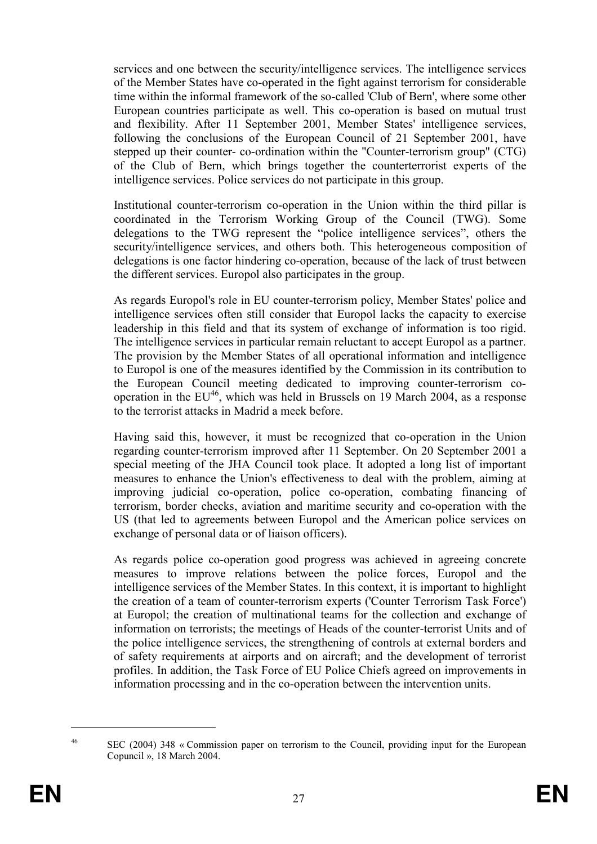services and one between the security/intelligence services. The intelligence services of the Member States have co-operated in the fight against terrorism for considerable time within the informal framework of the so-called 'Club of Bern', where some other European countries participate as well. This co-operation is based on mutual trust and flexibility. After 11 September 2001, Member States' intelligence services, following the conclusions of the European Council of 21 September 2001, have stepped up their counter- co-ordination within the "Counter-terrorism group" (CTG) of the Club of Bern, which brings together the counterterrorist experts of the intelligence services. Police services do not participate in this group.

Institutional counter-terrorism co-operation in the Union within the third pillar is coordinated in the Terrorism Working Group of the Council (TWG). Some delegations to the TWG represent the "police intelligence services", others the security/intelligence services, and others both. This heterogeneous composition of delegations is one factor hindering co-operation, because of the lack of trust between the different services. Europol also participates in the group.

As regards Europol's role in EU counter-terrorism policy, Member States' police and intelligence services often still consider that Europol lacks the capacity to exercise leadership in this field and that its system of exchange of information is too rigid. The intelligence services in particular remain reluctant to accept Europol as a partner. The provision by the Member States of all operational information and intelligence to Europol is one of the measures identified by the Commission in its contribution to the European Council meeting dedicated to improving counter-terrorism cooperation in the  $EU^{46}$ , which was held in Brussels on 19 March 2004, as a response to the terrorist attacks in Madrid a meek before.

Having said this, however, it must be recognized that co-operation in the Union regarding counter-terrorism improved after 11 September. On 20 September 2001 a special meeting of the JHA Council took place. It adopted a long list of important measures to enhance the Union's effectiveness to deal with the problem, aiming at improving judicial co-operation, police co-operation, combating financing of terrorism, border checks, aviation and maritime security and co-operation with the US (that led to agreements between Europol and the American police services on exchange of personal data or of liaison officers).

As regards police co-operation good progress was achieved in agreeing concrete measures to improve relations between the police forces, Europol and the intelligence services of the Member States. In this context, it is important to highlight the creation of a team of counter-terrorism experts ('Counter Terrorism Task Force') at Europol; the creation of multinational teams for the collection and exchange of information on terrorists; the meetings of Heads of the counter-terrorist Units and of the police intelligence services, the strengthening of controls at external borders and of safety requirements at airports and on aircraft; and the development of terrorist profiles. In addition, the Task Force of EU Police Chiefs agreed on improvements in information processing and in the co-operation between the intervention units.

<sup>46</sup> SEC (2004) 348 « Commission paper on terrorism to the Council, providing input for the European Copuncil », 18 March 2004.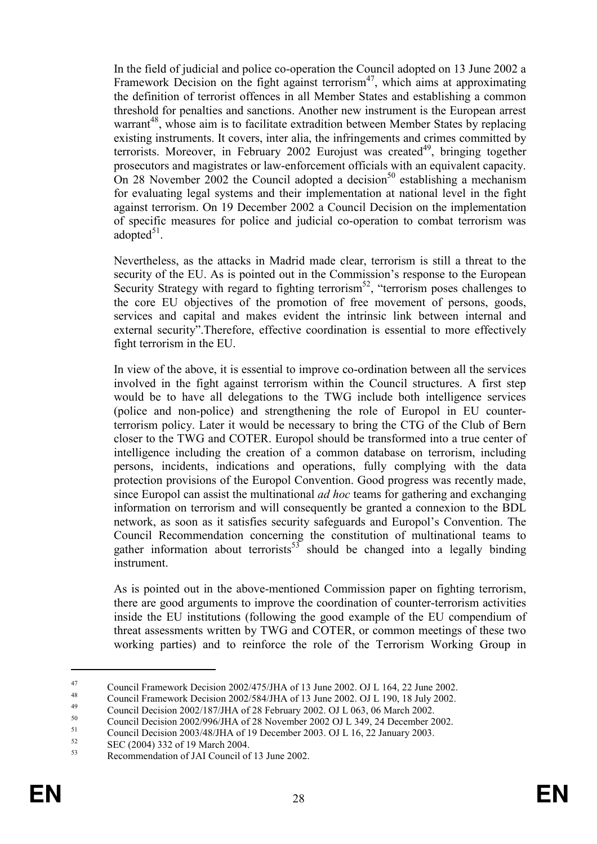In the field of judicial and police co-operation the Council adopted on 13 June 2002 a Framework Decision on the fight against terrorism<sup>47</sup>, which aims at approximating the definition of terrorist offences in all Member States and establishing a common threshold for penalties and sanctions. Another new instrument is the European arrest warrant<sup>48</sup>, whose aim is to facilitate extradition between Member States by replacing existing instruments. It covers, inter alia, the infringements and crimes committed by terrorists. Moreover, in February 2002 Eurojust was created<sup>49</sup>, bringing together prosecutors and magistrates or law-enforcement officials with an equivalent capacity. On 28 November 2002 the Council adopted a decision<sup>50</sup> establishing a mechanism for evaluating legal systems and their implementation at national level in the fight against terrorism. On 19 December 2002 a Council Decision on the implementation of specific measures for police and judicial co-operation to combat terrorism was adopted $51$ .

Nevertheless, as the attacks in Madrid made clear, terrorism is still a threat to the security of the EU. As is pointed out in the Commission's response to the European Security Strategy with regard to fighting terrorism<sup>52</sup>, "terrorism poses challenges to the core EU objectives of the promotion of free movement of persons, goods, services and capital and makes evident the intrinsic link between internal and external security".Therefore, effective coordination is essential to more effectively fight terrorism in the EU.

In view of the above, it is essential to improve co-ordination between all the services involved in the fight against terrorism within the Council structures. A first step would be to have all delegations to the TWG include both intelligence services (police and non-police) and strengthening the role of Europol in EU counterterrorism policy. Later it would be necessary to bring the CTG of the Club of Bern closer to the TWG and COTER. Europol should be transformed into a true center of intelligence including the creation of a common database on terrorism, including persons, incidents, indications and operations, fully complying with the data protection provisions of the Europol Convention. Good progress was recently made, since Europol can assist the multinational ad hoc teams for gathering and exchanging information on terrorism and will consequently be granted a connexion to the BDL network, as soon as it satisfies security safeguards and Europol's Convention. The Council Recommendation concerning the constitution of multinational teams to gather information about terrorists<sup>53</sup> should be changed into a legally binding instrument.

As is pointed out in the above-mentioned Commission paper on fighting terrorism, there are good arguments to improve the coordination of counter-terrorism activities inside the EU institutions (following the good example of the EU compendium of threat assessments written by TWG and COTER, or common meetings of these two working parties) and to reinforce the role of the Terrorism Working Group in

<sup>47</sup> Council Framework Decision 2002/475/JHA of 13 June 2002. OJ L 164, 22 June 2002.

<sup>48</sup> Council Framework Decision 2002/584/JHA of 13 June 2002. OJ L 190, 18 July 2002.

<sup>&</sup>lt;sup>49</sup> Council Decision 2002/187/JHA of 28 February 2002. OJ L 063, 06 March 2002.

<sup>&</sup>lt;sup>50</sup> Council Decision 2002/996/JHA of 28 November 2002 OJ L 349, 24 December 2002.

 $^{51}$  Council Decision 2003/48/JHA of 19 December 2003. OJ L 16, 22 January 2003.

 $52 \t\t \text{SEC (2004) 332 of 19 March 2004.}$ 

Recommendation of JAI Council of 13 June 2002.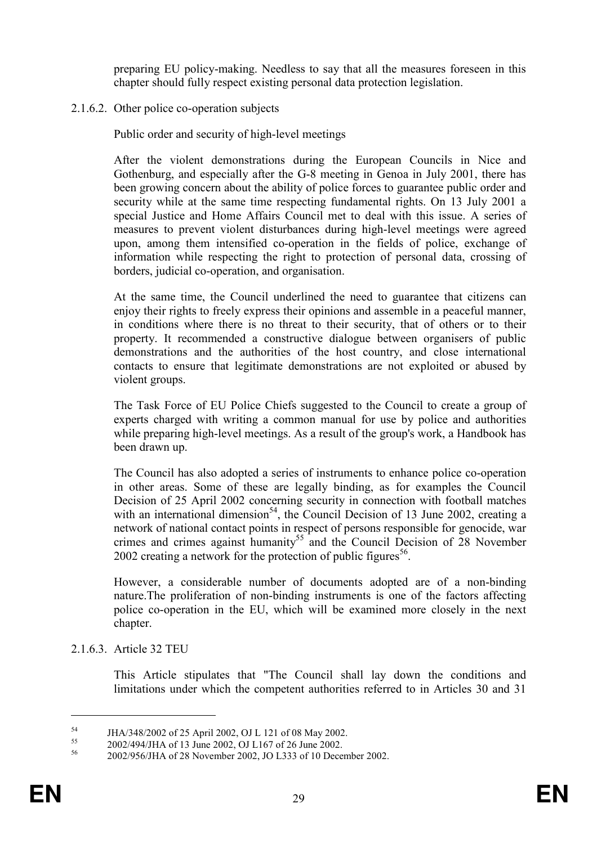preparing EU policy-making. Needless to say that all the measures foreseen in this chapter should fully respect existing personal data protection legislation.

#### 2.1.6.2. Other police co-operation subjects

Public order and security of high-level meetings

After the violent demonstrations during the European Councils in Nice and Gothenburg, and especially after the G-8 meeting in Genoa in July 2001, there has been growing concern about the ability of police forces to guarantee public order and security while at the same time respecting fundamental rights. On 13 July 2001 a special Justice and Home Affairs Council met to deal with this issue. A series of measures to prevent violent disturbances during high-level meetings were agreed upon, among them intensified co-operation in the fields of police, exchange of information while respecting the right to protection of personal data, crossing of borders, judicial co-operation, and organisation.

At the same time, the Council underlined the need to guarantee that citizens can enjoy their rights to freely express their opinions and assemble in a peaceful manner, in conditions where there is no threat to their security, that of others or to their property. It recommended a constructive dialogue between organisers of public demonstrations and the authorities of the host country, and close international contacts to ensure that legitimate demonstrations are not exploited or abused by violent groups.

The Task Force of EU Police Chiefs suggested to the Council to create a group of experts charged with writing a common manual for use by police and authorities while preparing high-level meetings. As a result of the group's work, a Handbook has been drawn up.

The Council has also adopted a series of instruments to enhance police co-operation in other areas. Some of these are legally binding, as for examples the Council Decision of 25 April 2002 concerning security in connection with football matches with an international dimension<sup>54</sup>, the Council Decision of 13 June 2002, creating a network of national contact points in respect of persons responsible for genocide, war crimes and crimes against humanity<sup>55</sup> and the Council Decision of 28 November 2002 creating a network for the protection of public figures<sup>56</sup>.

However, a considerable number of documents adopted are of a non-binding nature.The proliferation of non-binding instruments is one of the factors affecting police co-operation in the EU, which will be examined more closely in the next chapter.

2.1.6.3. Article 32 TEU

This Article stipulates that "The Council shall lay down the conditions and limitations under which the competent authorities referred to in Articles 30 and 31

<sup>&</sup>lt;sup>54</sup> JHA/348/2002 of 25 April 2002, OJ L 121 of 08 May 2002.

<sup>&</sup>lt;sup>55</sup> 2002/494/JHA of 13 June 2002, OJ L167 of 26 June 2002.

<sup>56</sup> 2002/956/JHA of 28 November 2002, JO L333 of 10 December 2002.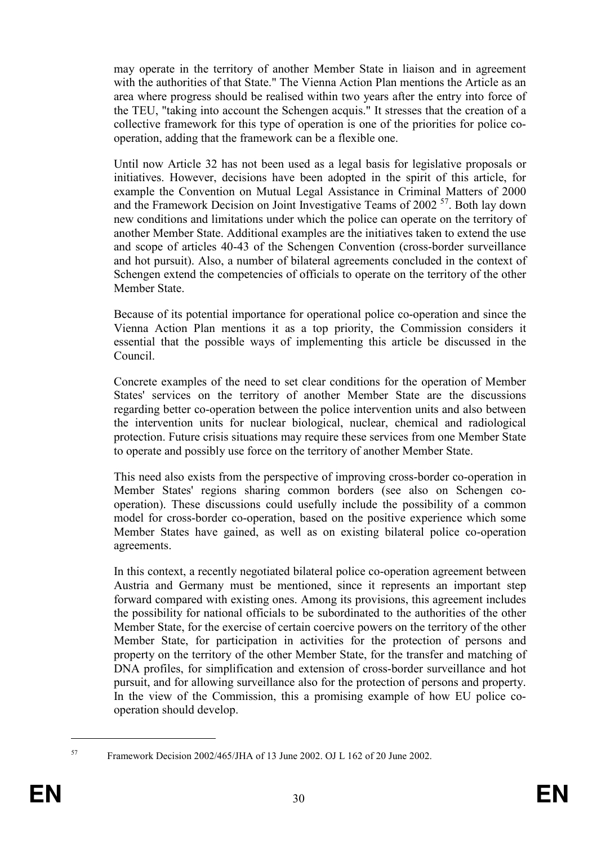may operate in the territory of another Member State in liaison and in agreement with the authorities of that State." The Vienna Action Plan mentions the Article as an area where progress should be realised within two years after the entry into force of the TEU, "taking into account the Schengen acquis." It stresses that the creation of a collective framework for this type of operation is one of the priorities for police cooperation, adding that the framework can be a flexible one.

Until now Article 32 has not been used as a legal basis for legislative proposals or initiatives. However, decisions have been adopted in the spirit of this article, for example the Convention on Mutual Legal Assistance in Criminal Matters of 2000 and the Framework Decision on Joint Investigative Teams of 2002 <sup>57</sup>. Both lay down new conditions and limitations under which the police can operate on the territory of another Member State. Additional examples are the initiatives taken to extend the use and scope of articles 40-43 of the Schengen Convention (cross-border surveillance and hot pursuit). Also, a number of bilateral agreements concluded in the context of Schengen extend the competencies of officials to operate on the territory of the other Member State.

Because of its potential importance for operational police co-operation and since the Vienna Action Plan mentions it as a top priority, the Commission considers it essential that the possible ways of implementing this article be discussed in the Council.

Concrete examples of the need to set clear conditions for the operation of Member States' services on the territory of another Member State are the discussions regarding better co-operation between the police intervention units and also between the intervention units for nuclear biological, nuclear, chemical and radiological protection. Future crisis situations may require these services from one Member State to operate and possibly use force on the territory of another Member State.

This need also exists from the perspective of improving cross-border co-operation in Member States' regions sharing common borders (see also on Schengen cooperation). These discussions could usefully include the possibility of a common model for cross-border co-operation, based on the positive experience which some Member States have gained, as well as on existing bilateral police co-operation agreements.

In this context, a recently negotiated bilateral police co-operation agreement between Austria and Germany must be mentioned, since it represents an important step forward compared with existing ones. Among its provisions, this agreement includes the possibility for national officials to be subordinated to the authorities of the other Member State, for the exercise of certain coercive powers on the territory of the other Member State, for participation in activities for the protection of persons and property on the territory of the other Member State, for the transfer and matching of DNA profiles, for simplification and extension of cross-border surveillance and hot pursuit, and for allowing surveillance also for the protection of persons and property. In the view of the Commission, this a promising example of how EU police cooperation should develop.

<sup>57</sup> Framework Decision 2002/465/JHA of 13 June 2002. OJ L 162 of 20 June 2002.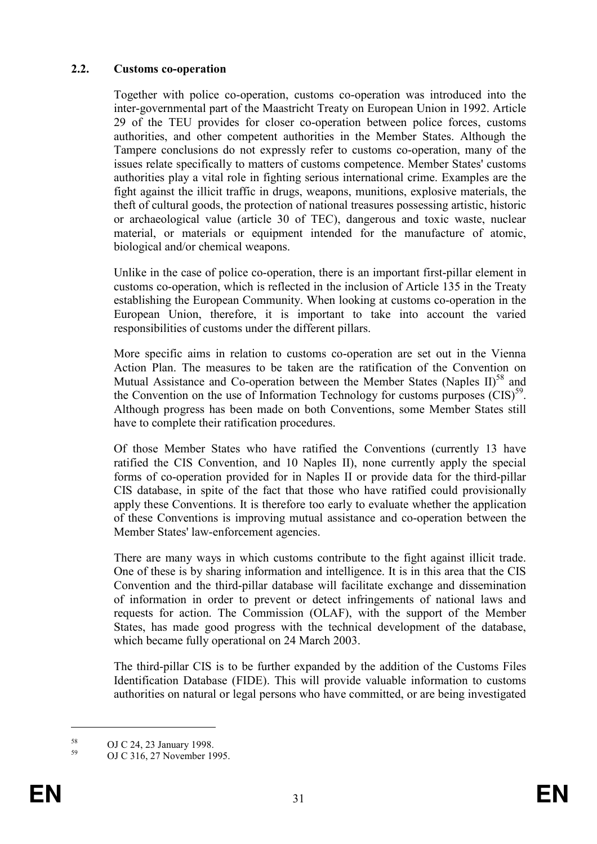# 2.2. Customs co-operation

Together with police co-operation, customs co-operation was introduced into the inter-governmental part of the Maastricht Treaty on European Union in 1992. Article 29 of the TEU provides for closer co-operation between police forces, customs authorities, and other competent authorities in the Member States. Although the Tampere conclusions do not expressly refer to customs co-operation, many of the issues relate specifically to matters of customs competence. Member States' customs authorities play a vital role in fighting serious international crime. Examples are the fight against the illicit traffic in drugs, weapons, munitions, explosive materials, the theft of cultural goods, the protection of national treasures possessing artistic, historic or archaeological value (article 30 of TEC), dangerous and toxic waste, nuclear material, or materials or equipment intended for the manufacture of atomic, biological and/or chemical weapons.

Unlike in the case of police co-operation, there is an important first-pillar element in customs co-operation, which is reflected in the inclusion of Article 135 in the Treaty establishing the European Community. When looking at customs co-operation in the European Union, therefore, it is important to take into account the varied responsibilities of customs under the different pillars.

More specific aims in relation to customs co-operation are set out in the Vienna Action Plan. The measures to be taken are the ratification of the Convention on Mutual Assistance and Co-operation between the Member States (Naples  $II$ )<sup>58</sup> and the Convention on the use of Information Technology for customs purposes  $(CIS)^{59}$ . Although progress has been made on both Conventions, some Member States still have to complete their ratification procedures.

Of those Member States who have ratified the Conventions (currently 13 have ratified the CIS Convention, and 10 Naples II), none currently apply the special forms of co-operation provided for in Naples II or provide data for the third-pillar CIS database, in spite of the fact that those who have ratified could provisionally apply these Conventions. It is therefore too early to evaluate whether the application of these Conventions is improving mutual assistance and co-operation between the Member States' law-enforcement agencies.

There are many ways in which customs contribute to the fight against illicit trade. One of these is by sharing information and intelligence. It is in this area that the CIS Convention and the third-pillar database will facilitate exchange and dissemination of information in order to prevent or detect infringements of national laws and requests for action. The Commission (OLAF), with the support of the Member States, has made good progress with the technical development of the database, which became fully operational on 24 March 2003.

The third-pillar CIS is to be further expanded by the addition of the Customs Files Identification Database (FIDE). This will provide valuable information to customs authorities on natural or legal persons who have committed, or are being investigated

 $58 \text{ OJ C } 24, 23 \text{ January } 1998.$ 

OJ C 316, 27 November 1995.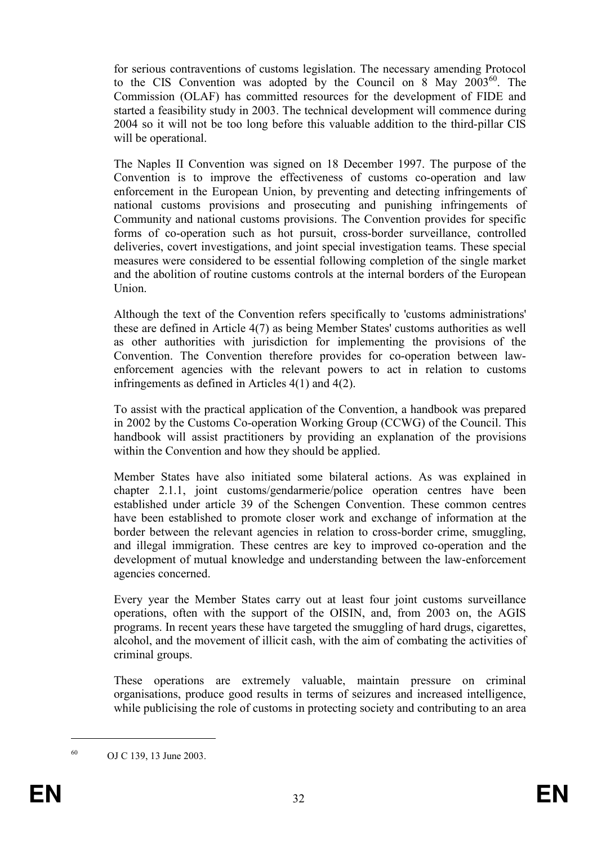for serious contraventions of customs legislation. The necessary amending Protocol to the CIS Convention was adopted by the Council on 8 May  $2003^{60}$ . The Commission (OLAF) has committed resources for the development of FIDE and started a feasibility study in 2003. The technical development will commence during 2004 so it will not be too long before this valuable addition to the third-pillar CIS will be operational.

The Naples II Convention was signed on 18 December 1997. The purpose of the Convention is to improve the effectiveness of customs co-operation and law enforcement in the European Union, by preventing and detecting infringements of national customs provisions and prosecuting and punishing infringements of Community and national customs provisions. The Convention provides for specific forms of co-operation such as hot pursuit, cross-border surveillance, controlled deliveries, covert investigations, and joint special investigation teams. These special measures were considered to be essential following completion of the single market and the abolition of routine customs controls at the internal borders of the European Union.

Although the text of the Convention refers specifically to 'customs administrations' these are defined in Article 4(7) as being Member States' customs authorities as well as other authorities with jurisdiction for implementing the provisions of the Convention. The Convention therefore provides for co-operation between lawenforcement agencies with the relevant powers to act in relation to customs infringements as defined in Articles 4(1) and 4(2).

To assist with the practical application of the Convention, a handbook was prepared in 2002 by the Customs Co-operation Working Group (CCWG) of the Council. This handbook will assist practitioners by providing an explanation of the provisions within the Convention and how they should be applied.

Member States have also initiated some bilateral actions. As was explained in chapter 2.1.1, joint customs/gendarmerie/police operation centres have been established under article 39 of the Schengen Convention. These common centres have been established to promote closer work and exchange of information at the border between the relevant agencies in relation to cross-border crime, smuggling, and illegal immigration. These centres are key to improved co-operation and the development of mutual knowledge and understanding between the law-enforcement agencies concerned.

Every year the Member States carry out at least four joint customs surveillance operations, often with the support of the OISIN, and, from 2003 on, the AGIS programs. In recent years these have targeted the smuggling of hard drugs, cigarettes, alcohol, and the movement of illicit cash, with the aim of combating the activities of criminal groups.

These operations are extremely valuable, maintain pressure on criminal organisations, produce good results in terms of seizures and increased intelligence, while publicising the role of customs in protecting society and contributing to an area

<sup>60</sup> OJ C 139, 13 June 2003.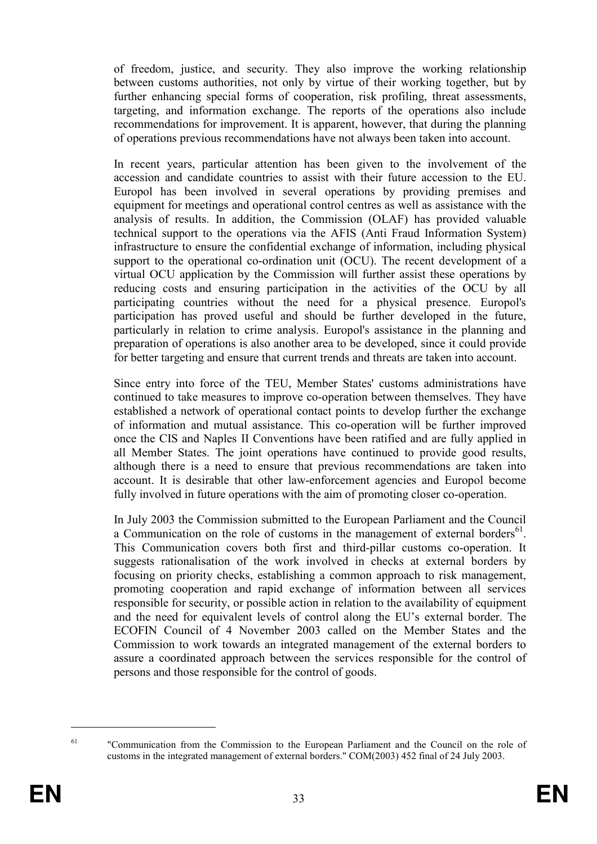of freedom, justice, and security. They also improve the working relationship between customs authorities, not only by virtue of their working together, but by further enhancing special forms of cooperation, risk profiling, threat assessments, targeting, and information exchange. The reports of the operations also include recommendations for improvement. It is apparent, however, that during the planning of operations previous recommendations have not always been taken into account.

In recent years, particular attention has been given to the involvement of the accession and candidate countries to assist with their future accession to the EU. Europol has been involved in several operations by providing premises and equipment for meetings and operational control centres as well as assistance with the analysis of results. In addition, the Commission (OLAF) has provided valuable technical support to the operations via the AFIS (Anti Fraud Information System) infrastructure to ensure the confidential exchange of information, including physical support to the operational co-ordination unit (OCU). The recent development of a virtual OCU application by the Commission will further assist these operations by reducing costs and ensuring participation in the activities of the OCU by all participating countries without the need for a physical presence. Europol's participation has proved useful and should be further developed in the future, particularly in relation to crime analysis. Europol's assistance in the planning and preparation of operations is also another area to be developed, since it could provide for better targeting and ensure that current trends and threats are taken into account.

Since entry into force of the TEU, Member States' customs administrations have continued to take measures to improve co-operation between themselves. They have established a network of operational contact points to develop further the exchange of information and mutual assistance. This co-operation will be further improved once the CIS and Naples II Conventions have been ratified and are fully applied in all Member States. The joint operations have continued to provide good results, although there is a need to ensure that previous recommendations are taken into account. It is desirable that other law-enforcement agencies and Europol become fully involved in future operations with the aim of promoting closer co-operation.

In July 2003 the Commission submitted to the European Parliament and the Council a Communication on the role of customs in the management of external borders $^{61}$ . This Communication covers both first and third-pillar customs co-operation. It suggests rationalisation of the work involved in checks at external borders by focusing on priority checks, establishing a common approach to risk management, promoting cooperation and rapid exchange of information between all services responsible for security, or possible action in relation to the availability of equipment and the need for equivalent levels of control along the EU's external border. The ECOFIN Council of 4 November 2003 called on the Member States and the Commission to work towards an integrated management of the external borders to assure a coordinated approach between the services responsible for the control of persons and those responsible for the control of goods.

 $61$  "Communication from the Commission to the European Parliament and the Council on the role of customs in the integrated management of external borders." COM(2003) 452 final of 24 July 2003.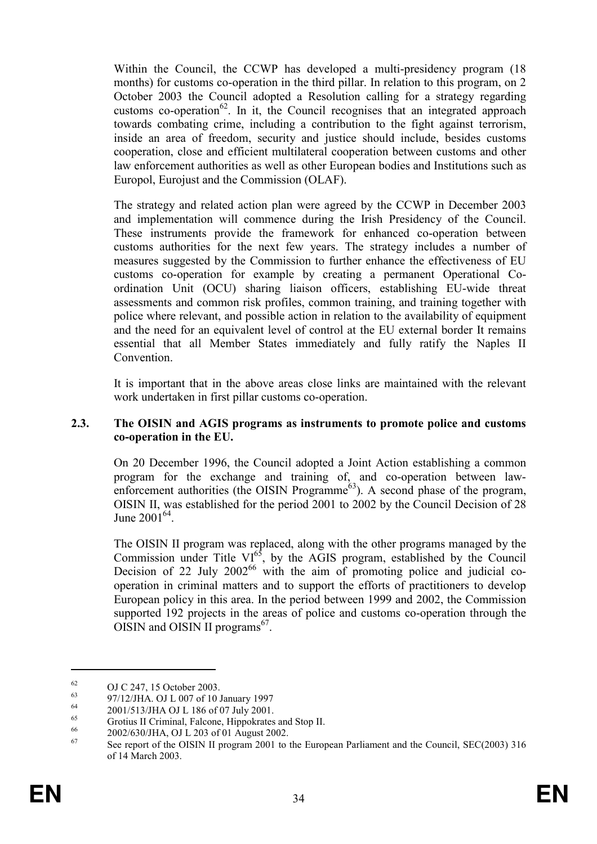Within the Council, the CCWP has developed a multi-presidency program (18 months) for customs co-operation in the third pillar. In relation to this program, on 2 October 2003 the Council adopted a Resolution calling for a strategy regarding customs co-operation<sup>62</sup>. In it, the Council recognises that an integrated approach towards combating crime, including a contribution to the fight against terrorism, inside an area of freedom, security and justice should include, besides customs cooperation, close and efficient multilateral cooperation between customs and other law enforcement authorities as well as other European bodies and Institutions such as Europol, Eurojust and the Commission (OLAF).

The strategy and related action plan were agreed by the CCWP in December 2003 and implementation will commence during the Irish Presidency of the Council. These instruments provide the framework for enhanced co-operation between customs authorities for the next few years. The strategy includes a number of measures suggested by the Commission to further enhance the effectiveness of EU customs co-operation for example by creating a permanent Operational Coordination Unit (OCU) sharing liaison officers, establishing EU-wide threat assessments and common risk profiles, common training, and training together with police where relevant, and possible action in relation to the availability of equipment and the need for an equivalent level of control at the EU external border It remains essential that all Member States immediately and fully ratify the Naples II Convention.

It is important that in the above areas close links are maintained with the relevant work undertaken in first pillar customs co-operation.

#### 2.3. The OISIN and AGIS programs as instruments to promote police and customs co-operation in the EU.

On 20 December 1996, the Council adopted a Joint Action establishing a common program for the exchange and training of, and co-operation between lawenforcement authorities (the OISIN Programme<sup>63</sup>). A second phase of the program, OISIN II, was established for the period 2001 to 2002 by the Council Decision of 28 June  $2001^{64}$ .

The OISIN II program was replaced, along with the other programs managed by the Commission under Title  $VI^{65}$ , by the AGIS program, established by the Council Decision of 22 July  $2002^{66}$  with the aim of promoting police and judicial cooperation in criminal matters and to support the efforts of practitioners to develop European policy in this area. In the period between 1999 and 2002, the Commission supported 192 projects in the areas of police and customs co-operation through the  $OISIN$  and  $OISIN$  II programs<sup>67</sup>.

<sup>&</sup>lt;sup>62</sup> OJ C 247, 15 October 2003.

 $^{63}$  97/12/JHA. OJ L 007 of 10 January 1997

<sup>&</sup>lt;sup>64</sup> 2001/513/JHA OJ L 186 of 07 July 2001.

<sup>&</sup>lt;sup>65</sup> Grotius II Criminal, Falcone, Hippokrates and Stop II.

 $^{66}$  2002/630/JHA, OJ L 203 of 01 August 2002.

See report of the OISIN II program 2001 to the European Parliament and the Council, SEC(2003) 316 of 14 March 2003.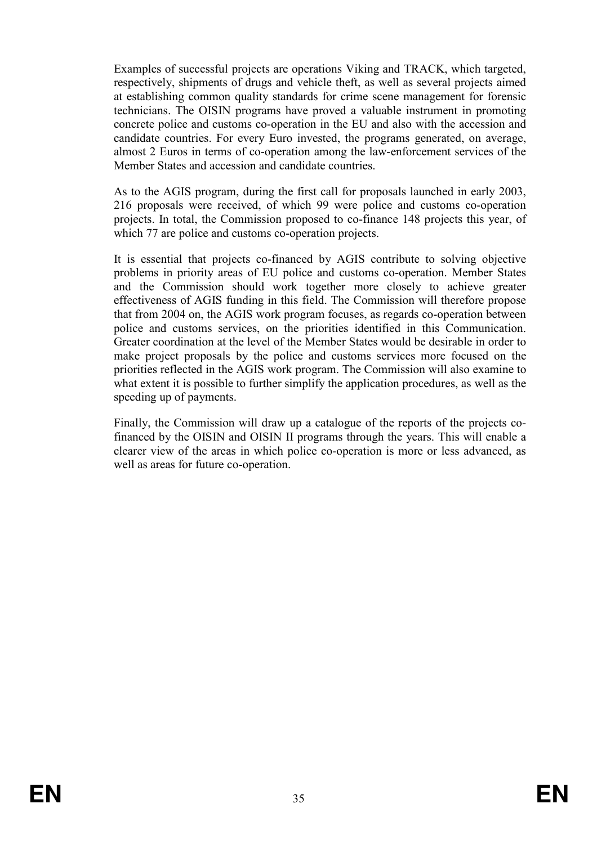Examples of successful projects are operations Viking and TRACK, which targeted, respectively, shipments of drugs and vehicle theft, as well as several projects aimed at establishing common quality standards for crime scene management for forensic technicians. The OISIN programs have proved a valuable instrument in promoting concrete police and customs co-operation in the EU and also with the accession and candidate countries. For every Euro invested, the programs generated, on average, almost 2 Euros in terms of co-operation among the law-enforcement services of the Member States and accession and candidate countries.

As to the AGIS program, during the first call for proposals launched in early 2003, 216 proposals were received, of which 99 were police and customs co-operation projects. In total, the Commission proposed to co-finance 148 projects this year, of which 77 are police and customs co-operation projects.

It is essential that projects co-financed by AGIS contribute to solving objective problems in priority areas of EU police and customs co-operation. Member States and the Commission should work together more closely to achieve greater effectiveness of AGIS funding in this field. The Commission will therefore propose that from 2004 on, the AGIS work program focuses, as regards co-operation between police and customs services, on the priorities identified in this Communication. Greater coordination at the level of the Member States would be desirable in order to make project proposals by the police and customs services more focused on the priorities reflected in the AGIS work program. The Commission will also examine to what extent it is possible to further simplify the application procedures, as well as the speeding up of payments.

Finally, the Commission will draw up a catalogue of the reports of the projects cofinanced by the OISIN and OISIN II programs through the years. This will enable a clearer view of the areas in which police co-operation is more or less advanced, as well as areas for future co-operation.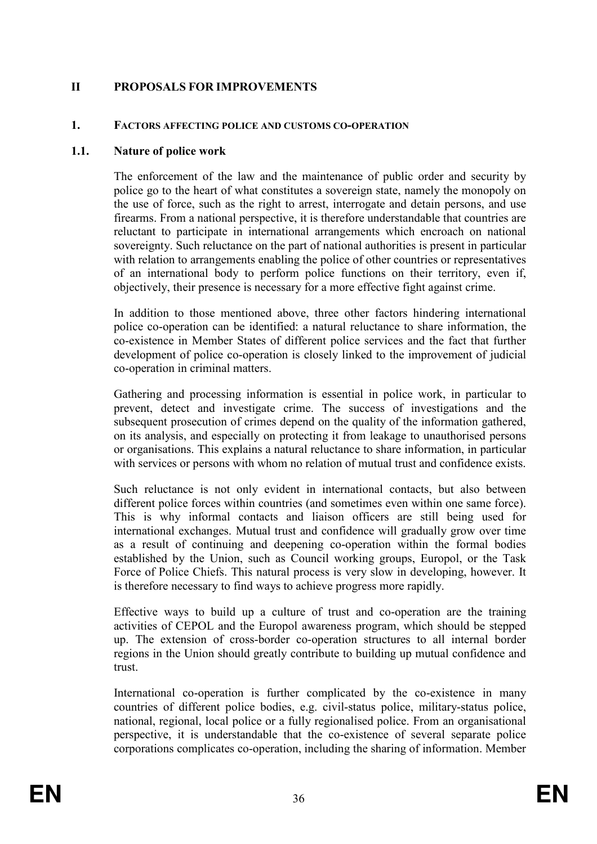# II PROPOSALS FOR IMPROVEMENTS

#### 1. FACTORS AFFECTING POLICE AND CUSTOMS CO-OPERATION

#### 1.1. Nature of police work

The enforcement of the law and the maintenance of public order and security by police go to the heart of what constitutes a sovereign state, namely the monopoly on the use of force, such as the right to arrest, interrogate and detain persons, and use firearms. From a national perspective, it is therefore understandable that countries are reluctant to participate in international arrangements which encroach on national sovereignty. Such reluctance on the part of national authorities is present in particular with relation to arrangements enabling the police of other countries or representatives of an international body to perform police functions on their territory, even if, objectively, their presence is necessary for a more effective fight against crime.

In addition to those mentioned above, three other factors hindering international police co-operation can be identified: a natural reluctance to share information, the co-existence in Member States of different police services and the fact that further development of police co-operation is closely linked to the improvement of judicial co-operation in criminal matters.

Gathering and processing information is essential in police work, in particular to prevent, detect and investigate crime. The success of investigations and the subsequent prosecution of crimes depend on the quality of the information gathered, on its analysis, and especially on protecting it from leakage to unauthorised persons or organisations. This explains a natural reluctance to share information, in particular with services or persons with whom no relation of mutual trust and confidence exists.

Such reluctance is not only evident in international contacts, but also between different police forces within countries (and sometimes even within one same force). This is why informal contacts and liaison officers are still being used for international exchanges. Mutual trust and confidence will gradually grow over time as a result of continuing and deepening co-operation within the formal bodies established by the Union, such as Council working groups, Europol, or the Task Force of Police Chiefs. This natural process is very slow in developing, however. It is therefore necessary to find ways to achieve progress more rapidly.

Effective ways to build up a culture of trust and co-operation are the training activities of CEPOL and the Europol awareness program, which should be stepped up. The extension of cross-border co-operation structures to all internal border regions in the Union should greatly contribute to building up mutual confidence and trust.

International co-operation is further complicated by the co-existence in many countries of different police bodies, e.g. civil-status police, military-status police, national, regional, local police or a fully regionalised police. From an organisational perspective, it is understandable that the co-existence of several separate police corporations complicates co-operation, including the sharing of information. Member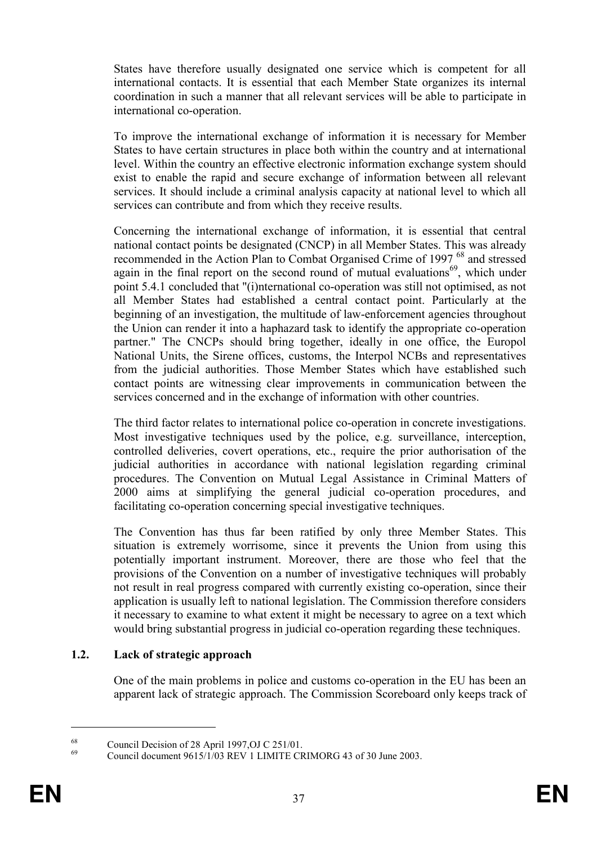States have therefore usually designated one service which is competent for all international contacts. It is essential that each Member State organizes its internal coordination in such a manner that all relevant services will be able to participate in international co-operation.

To improve the international exchange of information it is necessary for Member States to have certain structures in place both within the country and at international level. Within the country an effective electronic information exchange system should exist to enable the rapid and secure exchange of information between all relevant services. It should include a criminal analysis capacity at national level to which all services can contribute and from which they receive results.

Concerning the international exchange of information, it is essential that central national contact points be designated (CNCP) in all Member States. This was already recommended in the Action Plan to Combat Organised Crime of 1997 <sup>68</sup> and stressed again in the final report on the second round of mutual evaluations<sup>69</sup>, which under point 5.4.1 concluded that "(i)nternational co-operation was still not optimised, as not all Member States had established a central contact point. Particularly at the beginning of an investigation, the multitude of law-enforcement agencies throughout the Union can render it into a haphazard task to identify the appropriate co-operation partner." The CNCPs should bring together, ideally in one office, the Europol National Units, the Sirene offices, customs, the Interpol NCBs and representatives from the judicial authorities. Those Member States which have established such contact points are witnessing clear improvements in communication between the services concerned and in the exchange of information with other countries.

The third factor relates to international police co-operation in concrete investigations. Most investigative techniques used by the police, e.g. surveillance, interception, controlled deliveries, covert operations, etc., require the prior authorisation of the judicial authorities in accordance with national legislation regarding criminal procedures. The Convention on Mutual Legal Assistance in Criminal Matters of 2000 aims at simplifying the general judicial co-operation procedures, and facilitating co-operation concerning special investigative techniques.

The Convention has thus far been ratified by only three Member States. This situation is extremely worrisome, since it prevents the Union from using this potentially important instrument. Moreover, there are those who feel that the provisions of the Convention on a number of investigative techniques will probably not result in real progress compared with currently existing co-operation, since their application is usually left to national legislation. The Commission therefore considers it necessary to examine to what extent it might be necessary to agree on a text which would bring substantial progress in judicial co-operation regarding these techniques.

#### 1.2. Lack of strategic approach

One of the main problems in police and customs co-operation in the EU has been an apparent lack of strategic approach. The Commission Scoreboard only keeps track of

<sup>&</sup>lt;sup>68</sup><br>Council Decision of 28 April 1997,OJ C 251/01.<br>Council decreed 0.15/1/02 BEV 1.1 BALLE OF

Council document  $9615/1/03$  REV 1 LIMITE CRIMORG 43 of 30 June 2003.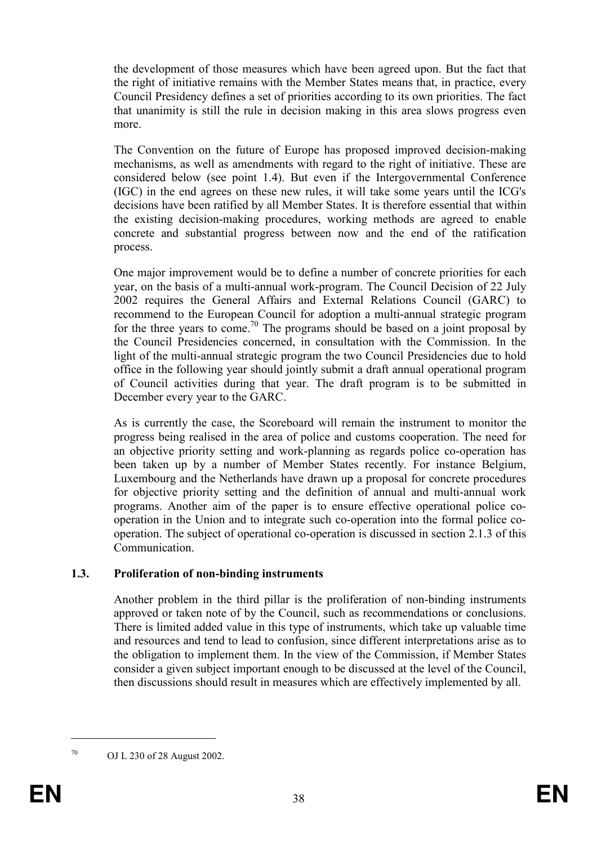the development of those measures which have been agreed upon. But the fact that the right of initiative remains with the Member States means that, in practice, every Council Presidency defines a set of priorities according to its own priorities. The fact that unanimity is still the rule in decision making in this area slows progress even more.

The Convention on the future of Europe has proposed improved decision-making mechanisms, as well as amendments with regard to the right of initiative. These are considered below (see point 1.4). But even if the Intergovernmental Conference (IGC) in the end agrees on these new rules, it will take some years until the ICG's decisions have been ratified by all Member States. It is therefore essential that within the existing decision-making procedures, working methods are agreed to enable concrete and substantial progress between now and the end of the ratification process.

One major improvement would be to define a number of concrete priorities for each year, on the basis of a multi-annual work-program. The Council Decision of 22 July 2002 requires the General Affairs and External Relations Council (GARC) to recommend to the European Council for adoption a multi-annual strategic program for the three years to come.<sup>70</sup> The programs should be based on a joint proposal by the Council Presidencies concerned, in consultation with the Commission. In the light of the multi-annual strategic program the two Council Presidencies due to hold office in the following year should jointly submit a draft annual operational program of Council activities during that year. The draft program is to be submitted in December every year to the GARC.

As is currently the case, the Scoreboard will remain the instrument to monitor the progress being realised in the area of police and customs cooperation. The need for an objective priority setting and work-planning as regards police co-operation has been taken up by a number of Member States recently. For instance Belgium, Luxembourg and the Netherlands have drawn up a proposal for concrete procedures for objective priority setting and the definition of annual and multi-annual work programs. Another aim of the paper is to ensure effective operational police cooperation in the Union and to integrate such co-operation into the formal police cooperation. The subject of operational co-operation is discussed in section 2.1.3 of this Communication.

# 1.3. Proliferation of non-binding instruments

Another problem in the third pillar is the proliferation of non-binding instruments approved or taken note of by the Council, such as recommendations or conclusions. There is limited added value in this type of instruments, which take up valuable time and resources and tend to lead to confusion, since different interpretations arise as to the obligation to implement them. In the view of the Commission, if Member States consider a given subject important enough to be discussed at the level of the Council, then discussions should result in measures which are effectively implemented by all.

<sup>70</sup> OJ L 230 of 28 August 2002.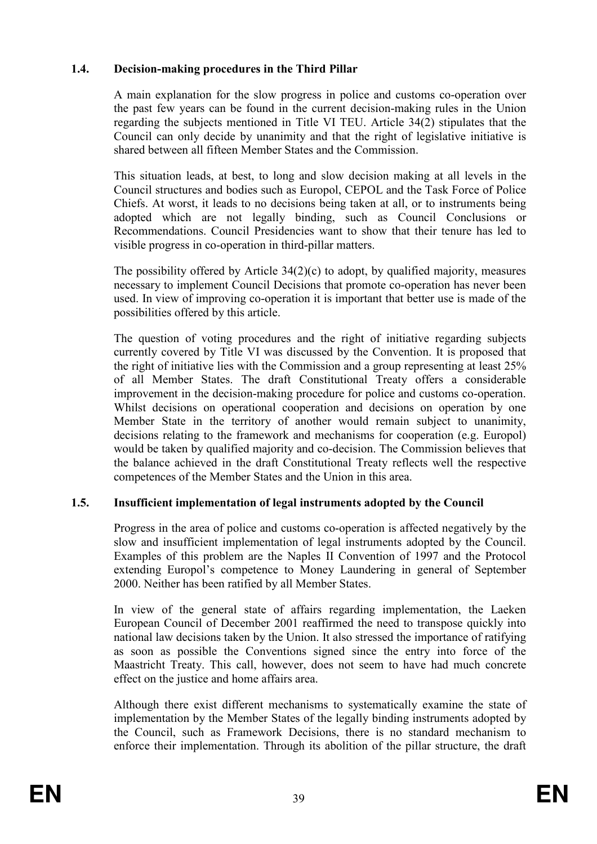# 1.4. Decision-making procedures in the Third Pillar

A main explanation for the slow progress in police and customs co-operation over the past few years can be found in the current decision-making rules in the Union regarding the subjects mentioned in Title VI TEU. Article 34(2) stipulates that the Council can only decide by unanimity and that the right of legislative initiative is shared between all fifteen Member States and the Commission.

This situation leads, at best, to long and slow decision making at all levels in the Council structures and bodies such as Europol, CEPOL and the Task Force of Police Chiefs. At worst, it leads to no decisions being taken at all, or to instruments being adopted which are not legally binding, such as Council Conclusions or Recommendations. Council Presidencies want to show that their tenure has led to visible progress in co-operation in third-pillar matters.

The possibility offered by Article 34(2)(c) to adopt, by qualified majority, measures necessary to implement Council Decisions that promote co-operation has never been used. In view of improving co-operation it is important that better use is made of the possibilities offered by this article.

The question of voting procedures and the right of initiative regarding subjects currently covered by Title VI was discussed by the Convention. It is proposed that the right of initiative lies with the Commission and a group representing at least 25% of all Member States. The draft Constitutional Treaty offers a considerable improvement in the decision-making procedure for police and customs co-operation. Whilst decisions on operational cooperation and decisions on operation by one Member State in the territory of another would remain subject to unanimity, decisions relating to the framework and mechanisms for cooperation (e.g. Europol) would be taken by qualified majority and co-decision. The Commission believes that the balance achieved in the draft Constitutional Treaty reflects well the respective competences of the Member States and the Union in this area.

# 1.5. Insufficient implementation of legal instruments adopted by the Council

Progress in the area of police and customs co-operation is affected negatively by the slow and insufficient implementation of legal instruments adopted by the Council. Examples of this problem are the Naples II Convention of 1997 and the Protocol extending Europol's competence to Money Laundering in general of September 2000. Neither has been ratified by all Member States.

In view of the general state of affairs regarding implementation, the Laeken European Council of December 2001 reaffirmed the need to transpose quickly into national law decisions taken by the Union. It also stressed the importance of ratifying as soon as possible the Conventions signed since the entry into force of the Maastricht Treaty. This call, however, does not seem to have had much concrete effect on the justice and home affairs area.

Although there exist different mechanisms to systematically examine the state of implementation by the Member States of the legally binding instruments adopted by the Council, such as Framework Decisions, there is no standard mechanism to enforce their implementation. Through its abolition of the pillar structure, the draft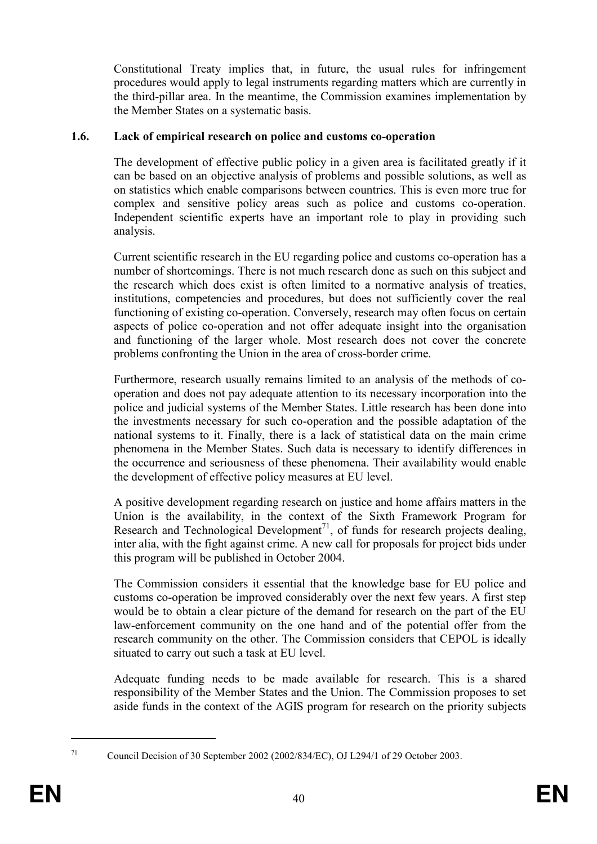Constitutional Treaty implies that, in future, the usual rules for infringement procedures would apply to legal instruments regarding matters which are currently in the third-pillar area. In the meantime, the Commission examines implementation by the Member States on a systematic basis.

## 1.6. Lack of empirical research on police and customs co-operation

The development of effective public policy in a given area is facilitated greatly if it can be based on an objective analysis of problems and possible solutions, as well as on statistics which enable comparisons between countries. This is even more true for complex and sensitive policy areas such as police and customs co-operation. Independent scientific experts have an important role to play in providing such analysis.

Current scientific research in the EU regarding police and customs co-operation has a number of shortcomings. There is not much research done as such on this subject and the research which does exist is often limited to a normative analysis of treaties, institutions, competencies and procedures, but does not sufficiently cover the real functioning of existing co-operation. Conversely, research may often focus on certain aspects of police co-operation and not offer adequate insight into the organisation and functioning of the larger whole. Most research does not cover the concrete problems confronting the Union in the area of cross-border crime.

Furthermore, research usually remains limited to an analysis of the methods of cooperation and does not pay adequate attention to its necessary incorporation into the police and judicial systems of the Member States. Little research has been done into the investments necessary for such co-operation and the possible adaptation of the national systems to it. Finally, there is a lack of statistical data on the main crime phenomena in the Member States. Such data is necessary to identify differences in the occurrence and seriousness of these phenomena. Their availability would enable the development of effective policy measures at EU level.

A positive development regarding research on justice and home affairs matters in the Union is the availability, in the context of the Sixth Framework Program for Research and Technological Development<sup>71</sup>, of funds for research projects dealing, inter alia, with the fight against crime. A new call for proposals for project bids under this program will be published in October 2004.

The Commission considers it essential that the knowledge base for EU police and customs co-operation be improved considerably over the next few years. A first step would be to obtain a clear picture of the demand for research on the part of the EU law-enforcement community on the one hand and of the potential offer from the research community on the other. The Commission considers that CEPOL is ideally situated to carry out such a task at EU level.

Adequate funding needs to be made available for research. This is a shared responsibility of the Member States and the Union. The Commission proposes to set aside funds in the context of the AGIS program for research on the priority subjects

<sup>71</sup> Council Decision of 30 September 2002 (2002/834/EC), OJ L294/1 of 29 October 2003.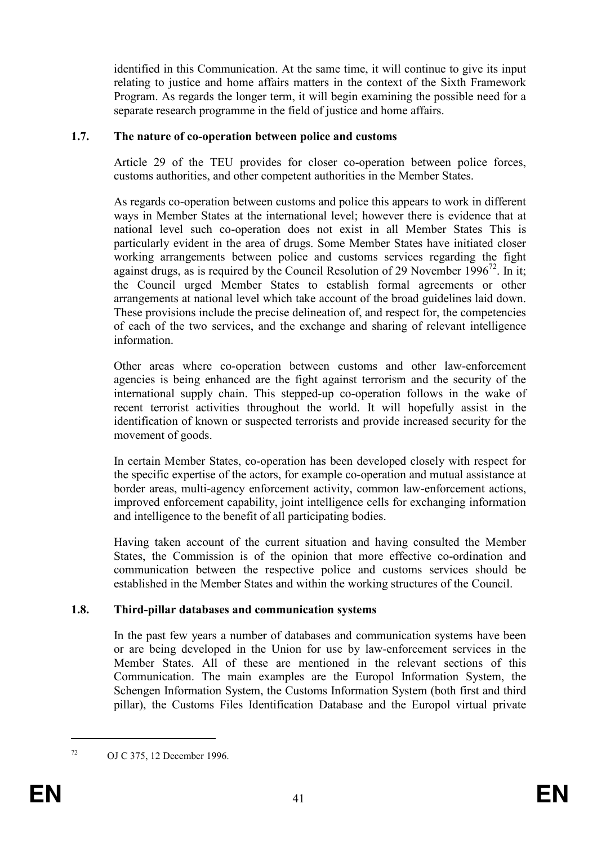identified in this Communication. At the same time, it will continue to give its input relating to justice and home affairs matters in the context of the Sixth Framework Program. As regards the longer term, it will begin examining the possible need for a separate research programme in the field of justice and home affairs.

## 1.7. The nature of co-operation between police and customs

Article 29 of the TEU provides for closer co-operation between police forces, customs authorities, and other competent authorities in the Member States.

As regards co-operation between customs and police this appears to work in different ways in Member States at the international level; however there is evidence that at national level such co-operation does not exist in all Member States This is particularly evident in the area of drugs. Some Member States have initiated closer working arrangements between police and customs services regarding the fight against drugs, as is required by the Council Resolution of 29 November 1996<sup>72</sup>. In it; the Council urged Member States to establish formal agreements or other arrangements at national level which take account of the broad guidelines laid down. These provisions include the precise delineation of, and respect for, the competencies of each of the two services, and the exchange and sharing of relevant intelligence information.

Other areas where co-operation between customs and other law-enforcement agencies is being enhanced are the fight against terrorism and the security of the international supply chain. This stepped-up co-operation follows in the wake of recent terrorist activities throughout the world. It will hopefully assist in the identification of known or suspected terrorists and provide increased security for the movement of goods.

In certain Member States, co-operation has been developed closely with respect for the specific expertise of the actors, for example co-operation and mutual assistance at border areas, multi-agency enforcement activity, common law-enforcement actions, improved enforcement capability, joint intelligence cells for exchanging information and intelligence to the benefit of all participating bodies.

Having taken account of the current situation and having consulted the Member States, the Commission is of the opinion that more effective co-ordination and communication between the respective police and customs services should be established in the Member States and within the working structures of the Council.

# 1.8. Third-pillar databases and communication systems

In the past few years a number of databases and communication systems have been or are being developed in the Union for use by law-enforcement services in the Member States. All of these are mentioned in the relevant sections of this Communication. The main examples are the Europol Information System, the Schengen Information System, the Customs Information System (both first and third pillar), the Customs Files Identification Database and the Europol virtual private

<sup>72</sup> OJ C 375, 12 December 1996.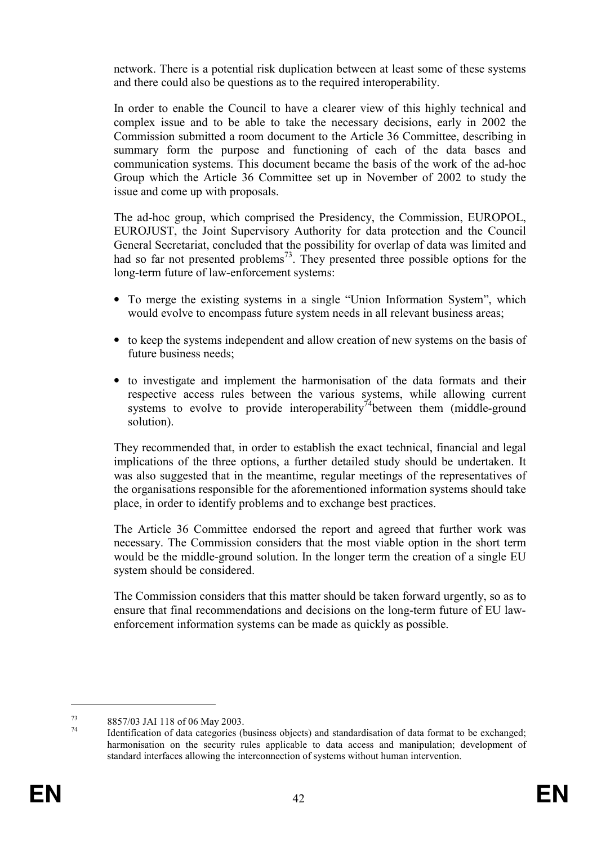network. There is a potential risk duplication between at least some of these systems and there could also be questions as to the required interoperability.

In order to enable the Council to have a clearer view of this highly technical and complex issue and to be able to take the necessary decisions, early in 2002 the Commission submitted a room document to the Article 36 Committee, describing in summary form the purpose and functioning of each of the data bases and communication systems. This document became the basis of the work of the ad-hoc Group which the Article 36 Committee set up in November of 2002 to study the issue and come up with proposals.

The ad-hoc group, which comprised the Presidency, the Commission, EUROPOL, EUROJUST, the Joint Supervisory Authority for data protection and the Council General Secretariat, concluded that the possibility for overlap of data was limited and had so far not presented problems<sup>73</sup>. They presented three possible options for the long-term future of law-enforcement systems:

- To merge the existing systems in a single "Union Information System", which would evolve to encompass future system needs in all relevant business areas;
- to keep the systems independent and allow creation of new systems on the basis of future business needs;
- to investigate and implement the harmonisation of the data formats and their respective access rules between the various systems, while allowing current systems to evolve to provide interoperability<sup>74</sup>between them (middle-ground solution).

They recommended that, in order to establish the exact technical, financial and legal implications of the three options, a further detailed study should be undertaken. It was also suggested that in the meantime, regular meetings of the representatives of the organisations responsible for the aforementioned information systems should take place, in order to identify problems and to exchange best practices.

The Article 36 Committee endorsed the report and agreed that further work was necessary. The Commission considers that the most viable option in the short term would be the middle-ground solution. In the longer term the creation of a single EU system should be considered.

The Commission considers that this matter should be taken forward urgently, so as to ensure that final recommendations and decisions on the long-term future of EU lawenforcement information systems can be made as quickly as possible.

<sup>73</sup> 8857/03 JAI 118 of 06 May 2003.

Identification of data categories (business objects) and standardisation of data format to be exchanged; harmonisation on the security rules applicable to data access and manipulation; development of standard interfaces allowing the interconnection of systems without human intervention.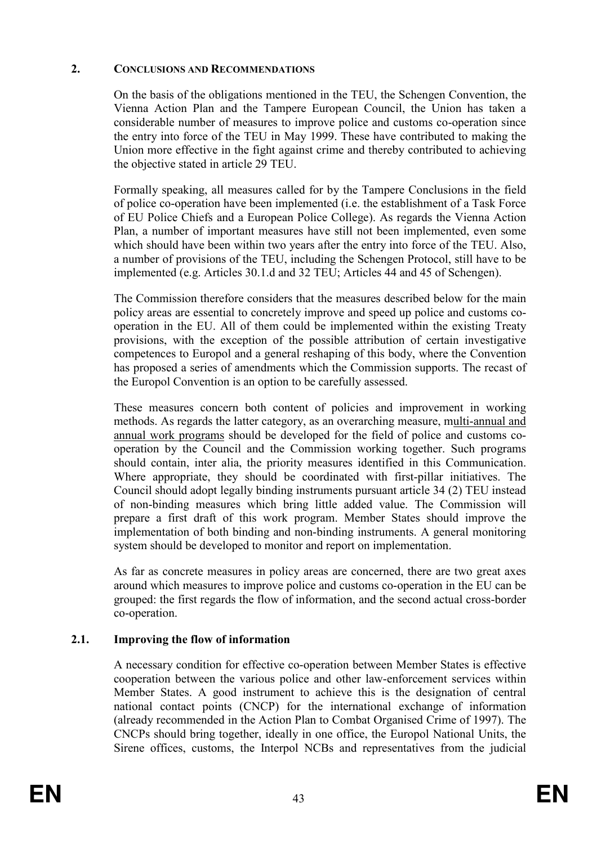## 2. CONCLUSIONS AND RECOMMENDATIONS

On the basis of the obligations mentioned in the TEU, the Schengen Convention, the Vienna Action Plan and the Tampere European Council, the Union has taken a considerable number of measures to improve police and customs co-operation since the entry into force of the TEU in May 1999. These have contributed to making the Union more effective in the fight against crime and thereby contributed to achieving the objective stated in article 29 TEU.

Formally speaking, all measures called for by the Tampere Conclusions in the field of police co-operation have been implemented (i.e. the establishment of a Task Force of EU Police Chiefs and a European Police College). As regards the Vienna Action Plan, a number of important measures have still not been implemented, even some which should have been within two years after the entry into force of the TEU. Also, a number of provisions of the TEU, including the Schengen Protocol, still have to be implemented (e.g. Articles 30.1.d and 32 TEU; Articles 44 and 45 of Schengen).

The Commission therefore considers that the measures described below for the main policy areas are essential to concretely improve and speed up police and customs cooperation in the EU. All of them could be implemented within the existing Treaty provisions, with the exception of the possible attribution of certain investigative competences to Europol and a general reshaping of this body, where the Convention has proposed a series of amendments which the Commission supports. The recast of the Europol Convention is an option to be carefully assessed.

These measures concern both content of policies and improvement in working methods. As regards the latter category, as an overarching measure, multi-annual and annual work programs should be developed for the field of police and customs cooperation by the Council and the Commission working together. Such programs should contain, inter alia, the priority measures identified in this Communication. Where appropriate, they should be coordinated with first-pillar initiatives. The Council should adopt legally binding instruments pursuant article 34 (2) TEU instead of non-binding measures which bring little added value. The Commission will prepare a first draft of this work program. Member States should improve the implementation of both binding and non-binding instruments. A general monitoring system should be developed to monitor and report on implementation.

As far as concrete measures in policy areas are concerned, there are two great axes around which measures to improve police and customs co-operation in the EU can be grouped: the first regards the flow of information, and the second actual cross-border co-operation.

# 2.1. Improving the flow of information

A necessary condition for effective co-operation between Member States is effective cooperation between the various police and other law-enforcement services within Member States. A good instrument to achieve this is the designation of central national contact points (CNCP) for the international exchange of information (already recommended in the Action Plan to Combat Organised Crime of 1997). The CNCPs should bring together, ideally in one office, the Europol National Units, the Sirene offices, customs, the Interpol NCBs and representatives from the judicial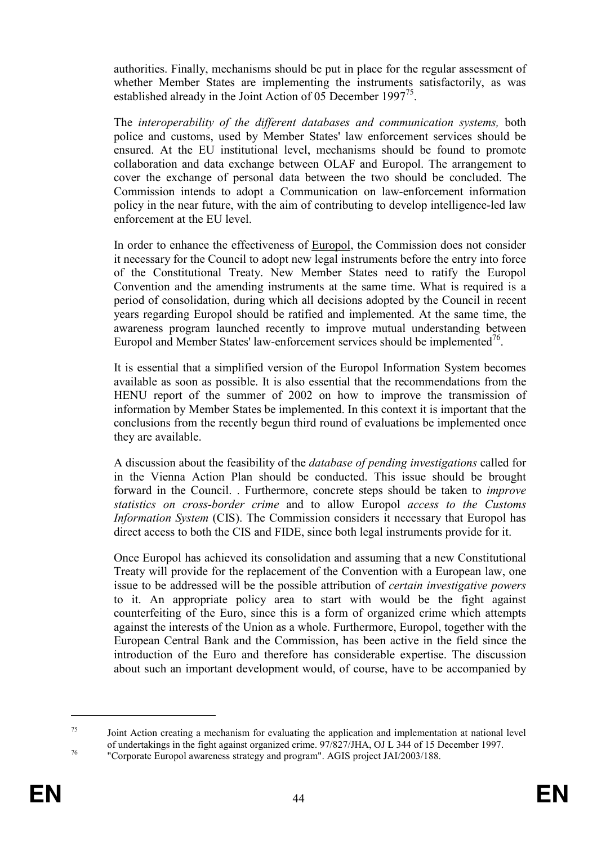authorities. Finally, mechanisms should be put in place for the regular assessment of whether Member States are implementing the instruments satisfactorily, as was established already in the Joint Action of 05 December 1997<sup>75</sup>.

The interoperability of the different databases and communication systems, both police and customs, used by Member States' law enforcement services should be ensured. At the EU institutional level, mechanisms should be found to promote collaboration and data exchange between OLAF and Europol. The arrangement to cover the exchange of personal data between the two should be concluded. The Commission intends to adopt a Communication on law-enforcement information policy in the near future, with the aim of contributing to develop intelligence-led law enforcement at the EU level.

In order to enhance the effectiveness of Europol, the Commission does not consider it necessary for the Council to adopt new legal instruments before the entry into force of the Constitutional Treaty. New Member States need to ratify the Europol Convention and the amending instruments at the same time. What is required is a period of consolidation, during which all decisions adopted by the Council in recent years regarding Europol should be ratified and implemented. At the same time, the awareness program launched recently to improve mutual understanding between Europol and Member States' law-enforcement services should be implemented<sup>76</sup>.

It is essential that a simplified version of the Europol Information System becomes available as soon as possible. It is also essential that the recommendations from the HENU report of the summer of 2002 on how to improve the transmission of information by Member States be implemented. In this context it is important that the conclusions from the recently begun third round of evaluations be implemented once they are available.

A discussion about the feasibility of the database of pending investigations called for in the Vienna Action Plan should be conducted. This issue should be brought forward in the Council. . Furthermore, concrete steps should be taken to improve statistics on cross-border crime and to allow Europol access to the Customs Information System (CIS). The Commission considers it necessary that Europol has direct access to both the CIS and FIDE, since both legal instruments provide for it.

Once Europol has achieved its consolidation and assuming that a new Constitutional Treaty will provide for the replacement of the Convention with a European law, one issue to be addressed will be the possible attribution of certain investigative powers to it. An appropriate policy area to start with would be the fight against counterfeiting of the Euro, since this is a form of organized crime which attempts against the interests of the Union as a whole. Furthermore, Europol, together with the European Central Bank and the Commission, has been active in the field since the introduction of the Euro and therefore has considerable expertise. The discussion about such an important development would, of course, have to be accompanied by

<sup>75</sup> Joint Action creating a mechanism for evaluating the application and implementation at national level of undertakings in the fight against organized crime. 97/827/JHA, OJ L 344 of 15 December 1997.

<sup>76</sup> "Corporate Europol awareness strategy and program". AGIS project JAI/2003/188.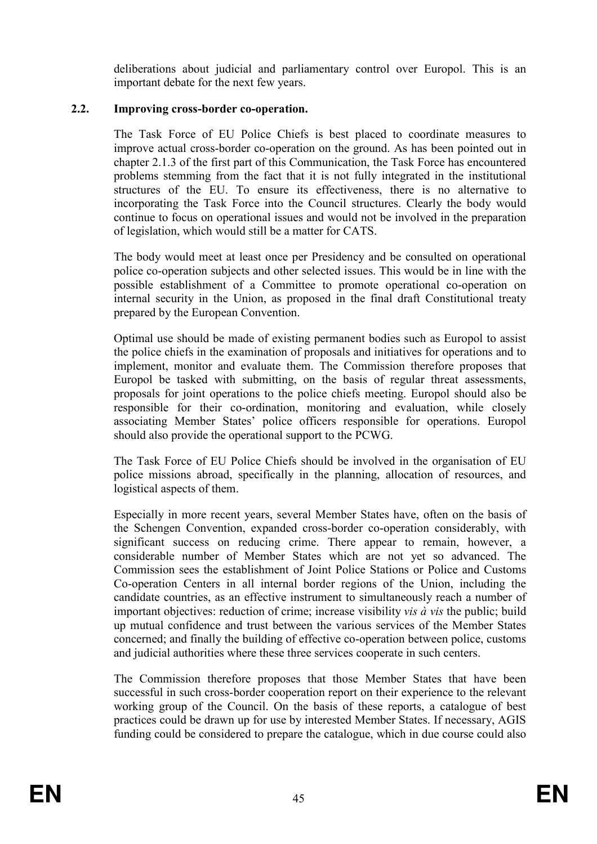deliberations about judicial and parliamentary control over Europol. This is an important debate for the next few years.

## 2.2. Improving cross-border co-operation.

The Task Force of EU Police Chiefs is best placed to coordinate measures to improve actual cross-border co-operation on the ground. As has been pointed out in chapter 2.1.3 of the first part of this Communication, the Task Force has encountered problems stemming from the fact that it is not fully integrated in the institutional structures of the EU. To ensure its effectiveness, there is no alternative to incorporating the Task Force into the Council structures. Clearly the body would continue to focus on operational issues and would not be involved in the preparation of legislation, which would still be a matter for CATS.

The body would meet at least once per Presidency and be consulted on operational police co-operation subjects and other selected issues. This would be in line with the possible establishment of a Committee to promote operational co-operation on internal security in the Union, as proposed in the final draft Constitutional treaty prepared by the European Convention.

Optimal use should be made of existing permanent bodies such as Europol to assist the police chiefs in the examination of proposals and initiatives for operations and to implement, monitor and evaluate them. The Commission therefore proposes that Europol be tasked with submitting, on the basis of regular threat assessments, proposals for joint operations to the police chiefs meeting. Europol should also be responsible for their co-ordination, monitoring and evaluation, while closely associating Member States' police officers responsible for operations. Europol should also provide the operational support to the PCWG.

The Task Force of EU Police Chiefs should be involved in the organisation of EU police missions abroad, specifically in the planning, allocation of resources, and logistical aspects of them.

Especially in more recent years, several Member States have, often on the basis of the Schengen Convention, expanded cross-border co-operation considerably, with significant success on reducing crime. There appear to remain, however, a considerable number of Member States which are not yet so advanced. The Commission sees the establishment of Joint Police Stations or Police and Customs Co-operation Centers in all internal border regions of the Union, including the candidate countries, as an effective instrument to simultaneously reach a number of important objectives: reduction of crime; increase visibility vis à vis the public; build up mutual confidence and trust between the various services of the Member States concerned; and finally the building of effective co-operation between police, customs and judicial authorities where these three services cooperate in such centers.

The Commission therefore proposes that those Member States that have been successful in such cross-border cooperation report on their experience to the relevant working group of the Council. On the basis of these reports, a catalogue of best practices could be drawn up for use by interested Member States. If necessary, AGIS funding could be considered to prepare the catalogue, which in due course could also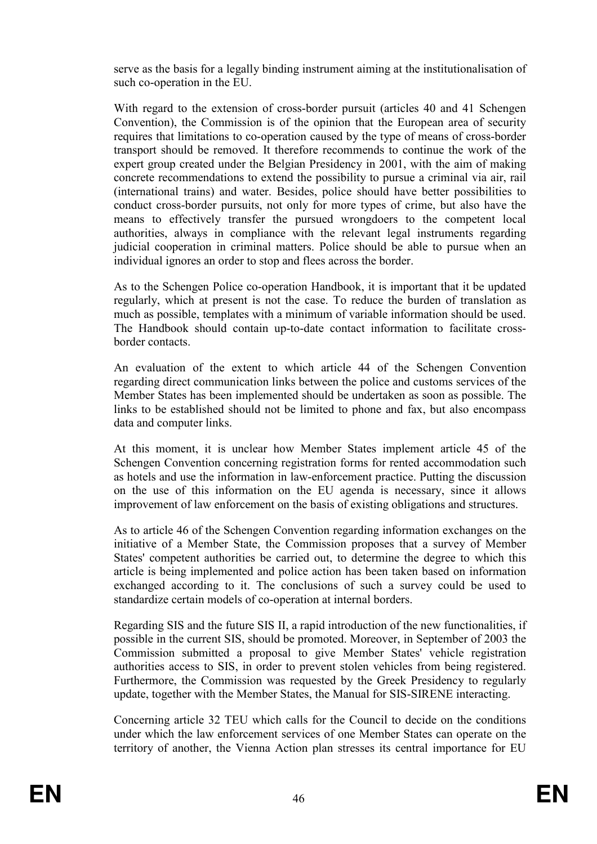serve as the basis for a legally binding instrument aiming at the institutionalisation of such co-operation in the EU.

With regard to the extension of cross-border pursuit (articles 40 and 41 Schengen Convention), the Commission is of the opinion that the European area of security requires that limitations to co-operation caused by the type of means of cross-border transport should be removed. It therefore recommends to continue the work of the expert group created under the Belgian Presidency in 2001, with the aim of making concrete recommendations to extend the possibility to pursue a criminal via air, rail (international trains) and water. Besides, police should have better possibilities to conduct cross-border pursuits, not only for more types of crime, but also have the means to effectively transfer the pursued wrongdoers to the competent local authorities, always in compliance with the relevant legal instruments regarding judicial cooperation in criminal matters. Police should be able to pursue when an individual ignores an order to stop and flees across the border.

As to the Schengen Police co-operation Handbook, it is important that it be updated regularly, which at present is not the case. To reduce the burden of translation as much as possible, templates with a minimum of variable information should be used. The Handbook should contain up-to-date contact information to facilitate crossborder contacts.

An evaluation of the extent to which article 44 of the Schengen Convention regarding direct communication links between the police and customs services of the Member States has been implemented should be undertaken as soon as possible. The links to be established should not be limited to phone and fax, but also encompass data and computer links.

At this moment, it is unclear how Member States implement article 45 of the Schengen Convention concerning registration forms for rented accommodation such as hotels and use the information in law-enforcement practice. Putting the discussion on the use of this information on the EU agenda is necessary, since it allows improvement of law enforcement on the basis of existing obligations and structures.

As to article 46 of the Schengen Convention regarding information exchanges on the initiative of a Member State, the Commission proposes that a survey of Member States' competent authorities be carried out, to determine the degree to which this article is being implemented and police action has been taken based on information exchanged according to it. The conclusions of such a survey could be used to standardize certain models of co-operation at internal borders.

Regarding SIS and the future SIS II, a rapid introduction of the new functionalities, if possible in the current SIS, should be promoted. Moreover, in September of 2003 the Commission submitted a proposal to give Member States' vehicle registration authorities access to SIS, in order to prevent stolen vehicles from being registered. Furthermore, the Commission was requested by the Greek Presidency to regularly update, together with the Member States, the Manual for SIS-SIRENE interacting.

Concerning article 32 TEU which calls for the Council to decide on the conditions under which the law enforcement services of one Member States can operate on the territory of another, the Vienna Action plan stresses its central importance for EU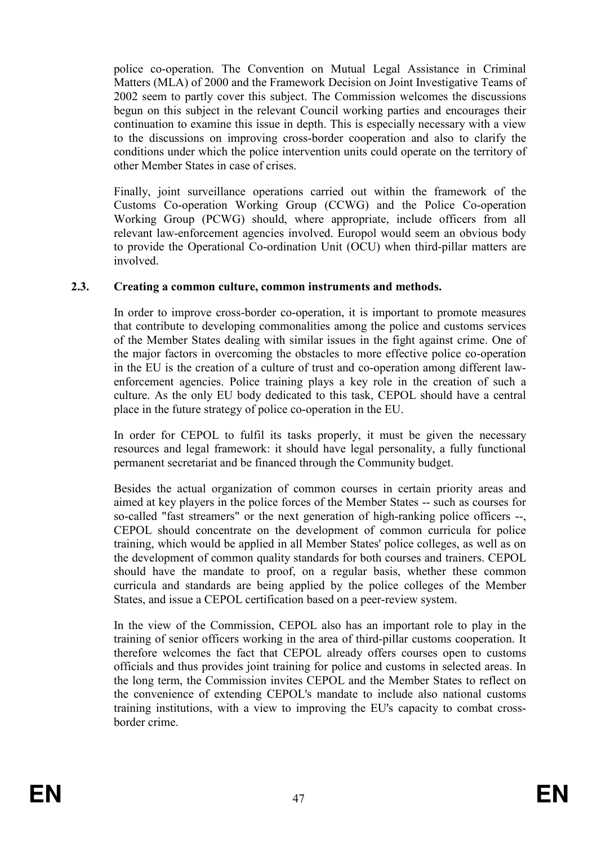police co-operation. The Convention on Mutual Legal Assistance in Criminal Matters (MLA) of 2000 and the Framework Decision on Joint Investigative Teams of 2002 seem to partly cover this subject. The Commission welcomes the discussions begun on this subject in the relevant Council working parties and encourages their continuation to examine this issue in depth. This is especially necessary with a view to the discussions on improving cross-border cooperation and also to clarify the conditions under which the police intervention units could operate on the territory of other Member States in case of crises.

Finally, joint surveillance operations carried out within the framework of the Customs Co-operation Working Group (CCWG) and the Police Co-operation Working Group (PCWG) should, where appropriate, include officers from all relevant law-enforcement agencies involved. Europol would seem an obvious body to provide the Operational Co-ordination Unit (OCU) when third-pillar matters are involved.

## 2.3. Creating a common culture, common instruments and methods.

In order to improve cross-border co-operation, it is important to promote measures that contribute to developing commonalities among the police and customs services of the Member States dealing with similar issues in the fight against crime. One of the major factors in overcoming the obstacles to more effective police co-operation in the EU is the creation of a culture of trust and co-operation among different lawenforcement agencies. Police training plays a key role in the creation of such a culture. As the only EU body dedicated to this task, CEPOL should have a central place in the future strategy of police co-operation in the EU.

In order for CEPOL to fulfil its tasks properly, it must be given the necessary resources and legal framework: it should have legal personality, a fully functional permanent secretariat and be financed through the Community budget.

Besides the actual organization of common courses in certain priority areas and aimed at key players in the police forces of the Member States -- such as courses for so-called "fast streamers" or the next generation of high-ranking police officers --, CEPOL should concentrate on the development of common curricula for police training, which would be applied in all Member States' police colleges, as well as on the development of common quality standards for both courses and trainers. CEPOL should have the mandate to proof, on a regular basis, whether these common curricula and standards are being applied by the police colleges of the Member States, and issue a CEPOL certification based on a peer-review system.

In the view of the Commission, CEPOL also has an important role to play in the training of senior officers working in the area of third-pillar customs cooperation. It therefore welcomes the fact that CEPOL already offers courses open to customs officials and thus provides joint training for police and customs in selected areas. In the long term, the Commission invites CEPOL and the Member States to reflect on the convenience of extending CEPOL's mandate to include also national customs training institutions, with a view to improving the EU's capacity to combat crossborder crime.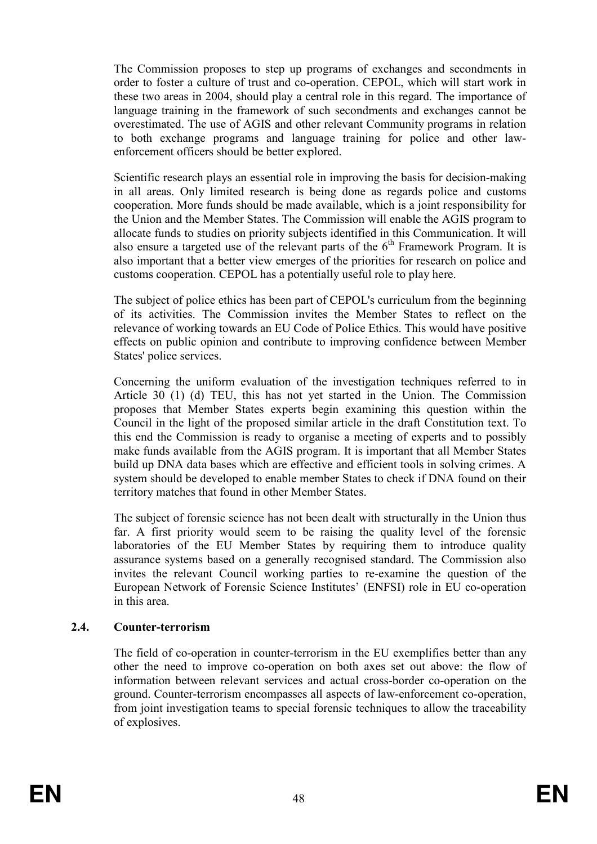The Commission proposes to step up programs of exchanges and secondments in order to foster a culture of trust and co-operation. CEPOL, which will start work in these two areas in 2004, should play a central role in this regard. The importance of language training in the framework of such secondments and exchanges cannot be overestimated. The use of AGIS and other relevant Community programs in relation to both exchange programs and language training for police and other lawenforcement officers should be better explored.

Scientific research plays an essential role in improving the basis for decision-making in all areas. Only limited research is being done as regards police and customs cooperation. More funds should be made available, which is a joint responsibility for the Union and the Member States. The Commission will enable the AGIS program to allocate funds to studies on priority subjects identified in this Communication. It will also ensure a targeted use of the relevant parts of the  $6<sup>th</sup>$  Framework Program. It is also important that a better view emerges of the priorities for research on police and customs cooperation. CEPOL has a potentially useful role to play here.

The subject of police ethics has been part of CEPOL's curriculum from the beginning of its activities. The Commission invites the Member States to reflect on the relevance of working towards an EU Code of Police Ethics. This would have positive effects on public opinion and contribute to improving confidence between Member States' police services.

Concerning the uniform evaluation of the investigation techniques referred to in Article 30 (1) (d) TEU, this has not yet started in the Union. The Commission proposes that Member States experts begin examining this question within the Council in the light of the proposed similar article in the draft Constitution text. To this end the Commission is ready to organise a meeting of experts and to possibly make funds available from the AGIS program. It is important that all Member States build up DNA data bases which are effective and efficient tools in solving crimes. A system should be developed to enable member States to check if DNA found on their territory matches that found in other Member States.

The subject of forensic science has not been dealt with structurally in the Union thus far. A first priority would seem to be raising the quality level of the forensic laboratories of the EU Member States by requiring them to introduce quality assurance systems based on a generally recognised standard. The Commission also invites the relevant Council working parties to re-examine the question of the European Network of Forensic Science Institutes' (ENFSI) role in EU co-operation in this area.

# 2.4. Counter-terrorism

The field of co-operation in counter-terrorism in the EU exemplifies better than any other the need to improve co-operation on both axes set out above: the flow of information between relevant services and actual cross-border co-operation on the ground. Counter-terrorism encompasses all aspects of law-enforcement co-operation, from joint investigation teams to special forensic techniques to allow the traceability of explosives.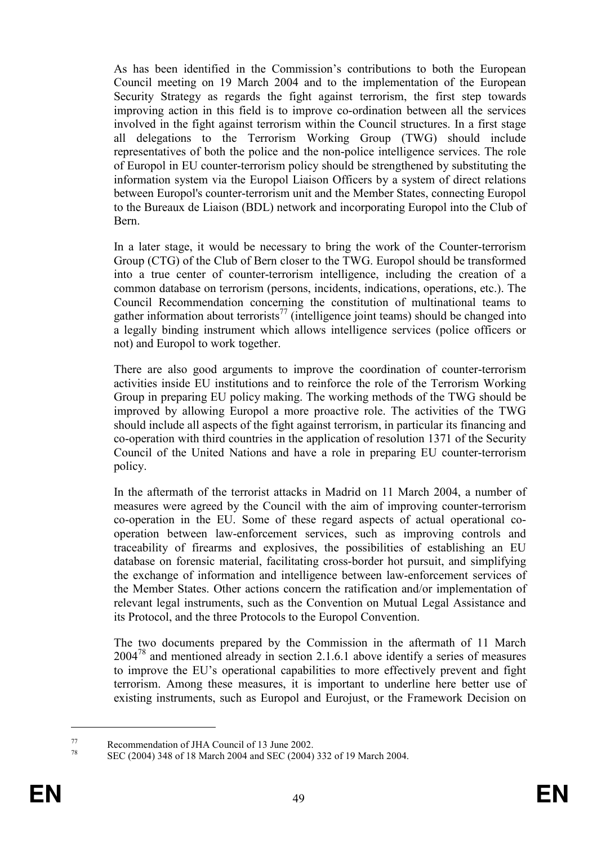As has been identified in the Commission's contributions to both the European Council meeting on 19 March 2004 and to the implementation of the European Security Strategy as regards the fight against terrorism, the first step towards improving action in this field is to improve co-ordination between all the services involved in the fight against terrorism within the Council structures. In a first stage all delegations to the Terrorism Working Group (TWG) should include representatives of both the police and the non-police intelligence services. The role of Europol in EU counter-terrorism policy should be strengthened by substituting the information system via the Europol Liaison Officers by a system of direct relations between Europol's counter-terrorism unit and the Member States, connecting Europol to the Bureaux de Liaison (BDL) network and incorporating Europol into the Club of Bern.

In a later stage, it would be necessary to bring the work of the Counter-terrorism Group (CTG) of the Club of Bern closer to the TWG. Europol should be transformed into a true center of counter-terrorism intelligence, including the creation of a common database on terrorism (persons, incidents, indications, operations, etc.). The Council Recommendation concerning the constitution of multinational teams to gather information about terrorists<sup>77</sup> (intelligence joint teams) should be changed into a legally binding instrument which allows intelligence services (police officers or not) and Europol to work together.

There are also good arguments to improve the coordination of counter-terrorism activities inside EU institutions and to reinforce the role of the Terrorism Working Group in preparing EU policy making. The working methods of the TWG should be improved by allowing Europol a more proactive role. The activities of the TWG should include all aspects of the fight against terrorism, in particular its financing and co-operation with third countries in the application of resolution 1371 of the Security Council of the United Nations and have a role in preparing EU counter-terrorism policy.

In the aftermath of the terrorist attacks in Madrid on 11 March 2004, a number of measures were agreed by the Council with the aim of improving counter-terrorism co-operation in the EU. Some of these regard aspects of actual operational cooperation between law-enforcement services, such as improving controls and traceability of firearms and explosives, the possibilities of establishing an EU database on forensic material, facilitating cross-border hot pursuit, and simplifying the exchange of information and intelligence between law-enforcement services of the Member States. Other actions concern the ratification and/or implementation of relevant legal instruments, such as the Convention on Mutual Legal Assistance and its Protocol, and the three Protocols to the Europol Convention.

The two documents prepared by the Commission in the aftermath of 11 March 2004<sup>78</sup> and mentioned already in section 2.1.6.1 above identify a series of measures to improve the EU's operational capabilities to more effectively prevent and fight terrorism. Among these measures, it is important to underline here better use of existing instruments, such as Europol and Eurojust, or the Framework Decision on

 $^{77}$  Recommendation of JHA Council of 13 June 2002.

SEC (2004) 348 of 18 March 2004 and SEC (2004) 332 of 19 March 2004.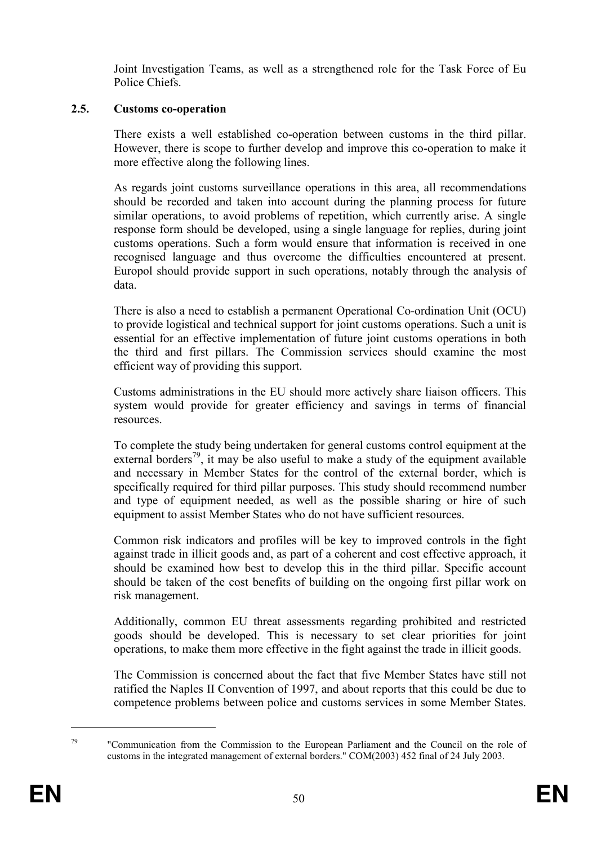Joint Investigation Teams, as well as a strengthened role for the Task Force of Eu Police Chiefs.

# 2.5. Customs co-operation

There exists a well established co-operation between customs in the third pillar. However, there is scope to further develop and improve this co-operation to make it more effective along the following lines.

As regards joint customs surveillance operations in this area, all recommendations should be recorded and taken into account during the planning process for future similar operations, to avoid problems of repetition, which currently arise. A single response form should be developed, using a single language for replies, during joint customs operations. Such a form would ensure that information is received in one recognised language and thus overcome the difficulties encountered at present. Europol should provide support in such operations, notably through the analysis of data.

There is also a need to establish a permanent Operational Co-ordination Unit (OCU) to provide logistical and technical support for joint customs operations. Such a unit is essential for an effective implementation of future joint customs operations in both the third and first pillars. The Commission services should examine the most efficient way of providing this support.

Customs administrations in the EU should more actively share liaison officers. This system would provide for greater efficiency and savings in terms of financial resources.

To complete the study being undertaken for general customs control equipment at the external borders<sup>79</sup>, it may be also useful to make a study of the equipment available and necessary in Member States for the control of the external border, which is specifically required for third pillar purposes. This study should recommend number and type of equipment needed, as well as the possible sharing or hire of such equipment to assist Member States who do not have sufficient resources.

Common risk indicators and profiles will be key to improved controls in the fight against trade in illicit goods and, as part of a coherent and cost effective approach, it should be examined how best to develop this in the third pillar. Specific account should be taken of the cost benefits of building on the ongoing first pillar work on risk management.

Additionally, common EU threat assessments regarding prohibited and restricted goods should be developed. This is necessary to set clear priorities for joint operations, to make them more effective in the fight against the trade in illicit goods.

The Commission is concerned about the fact that five Member States have still not ratified the Naples II Convention of 1997, and about reports that this could be due to competence problems between police and customs services in some Member States.

 $79$  "Communication from the Commission to the European Parliament and the Council on the role of customs in the integrated management of external borders." COM(2003) 452 final of 24 July 2003.